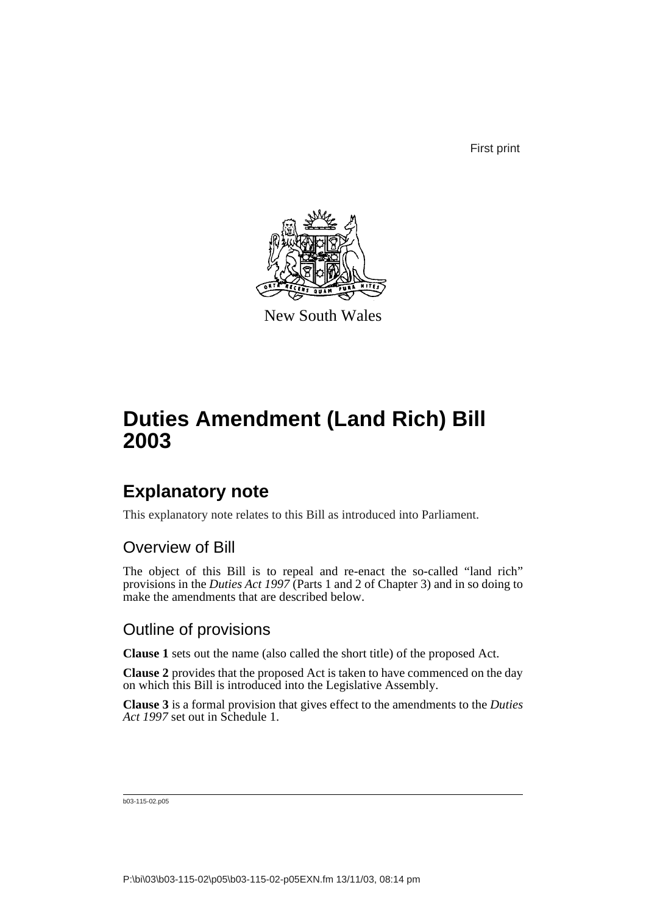First print



New South Wales

# **Duties Amendment (Land Rich) Bill 2003**

# **Explanatory note**

This explanatory note relates to this Bill as introduced into Parliament.

## Overview of Bill

The object of this Bill is to repeal and re-enact the so-called "land rich" provisions in the *Duties Act 1997* (Parts 1 and 2 of Chapter 3) and in so doing to make the amendments that are described below.

## Outline of provisions

**Clause 1** sets out the name (also called the short title) of the proposed Act.

**Clause 2** provides that the proposed Act is taken to have commenced on the day on which this Bill is introduced into the Legislative Assembly.

**Clause 3** is a formal provision that gives effect to the amendments to the *Duties Act 1997* set out in Schedule 1.

b03-115-02.p05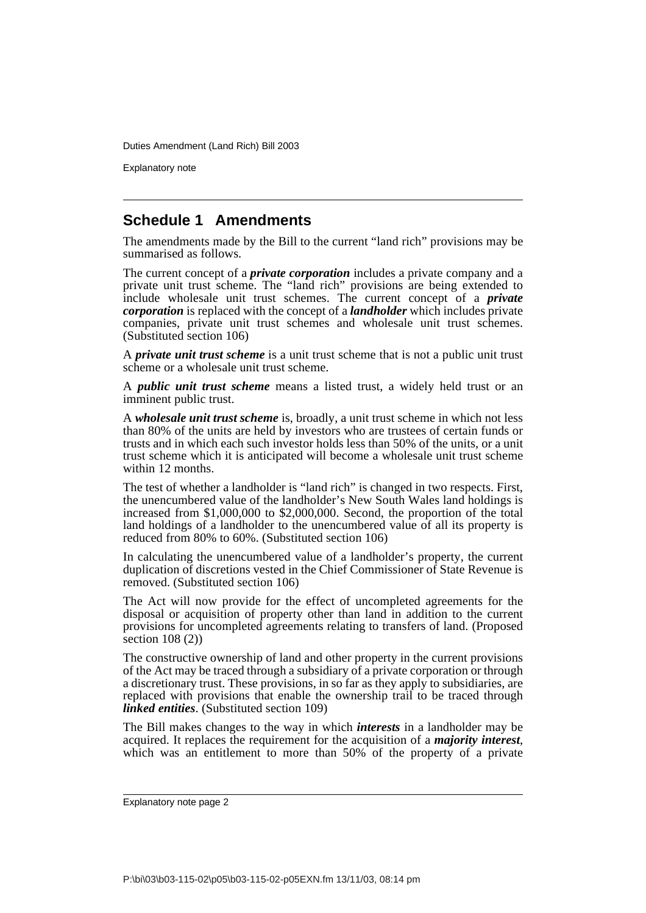Explanatory note

## **Schedule 1 Amendments**

The amendments made by the Bill to the current "land rich" provisions may be summarised as follows.

The current concept of a *private corporation* includes a private company and a private unit trust scheme. The "land rich" provisions are being extended to include wholesale unit trust schemes. The current concept of a *private corporation* is replaced with the concept of a *landholder* which includes private companies, private unit trust schemes and wholesale unit trust schemes. (Substituted section 106)

A *private unit trust scheme* is a unit trust scheme that is not a public unit trust scheme or a wholesale unit trust scheme.

A *public unit trust scheme* means a listed trust, a widely held trust or an imminent public trust.

A *wholesale unit trust scheme* is, broadly, a unit trust scheme in which not less than 80% of the units are held by investors who are trustees of certain funds or trusts and in which each such investor holds less than 50% of the units, or a unit trust scheme which it is anticipated will become a wholesale unit trust scheme within 12 months.

The test of whether a landholder is "land rich" is changed in two respects. First, the unencumbered value of the landholder's New South Wales land holdings is increased from \$1,000,000 to \$2,000,000. Second, the proportion of the total land holdings of a landholder to the unencumbered value of all its property is reduced from 80% to 60%. (Substituted section 106)

In calculating the unencumbered value of a landholder's property, the current duplication of discretions vested in the Chief Commissioner of State Revenue is removed. (Substituted section 106)

The Act will now provide for the effect of uncompleted agreements for the disposal or acquisition of property other than land in addition to the current provisions for uncompleted agreements relating to transfers of land. (Proposed section 108 (2))

The constructive ownership of land and other property in the current provisions of the Act may be traced through a subsidiary of a private corporation or through a discretionary trust. These provisions, in so far as they apply to subsidiaries, are replaced with provisions that enable the ownership trail to be traced through *linked entities*. (Substituted section 109)

The Bill makes changes to the way in which *interests* in a landholder may be acquired. It replaces the requirement for the acquisition of a *majority interest*, which was an entitlement to more than 50% of the property of a private

Explanatory note page 2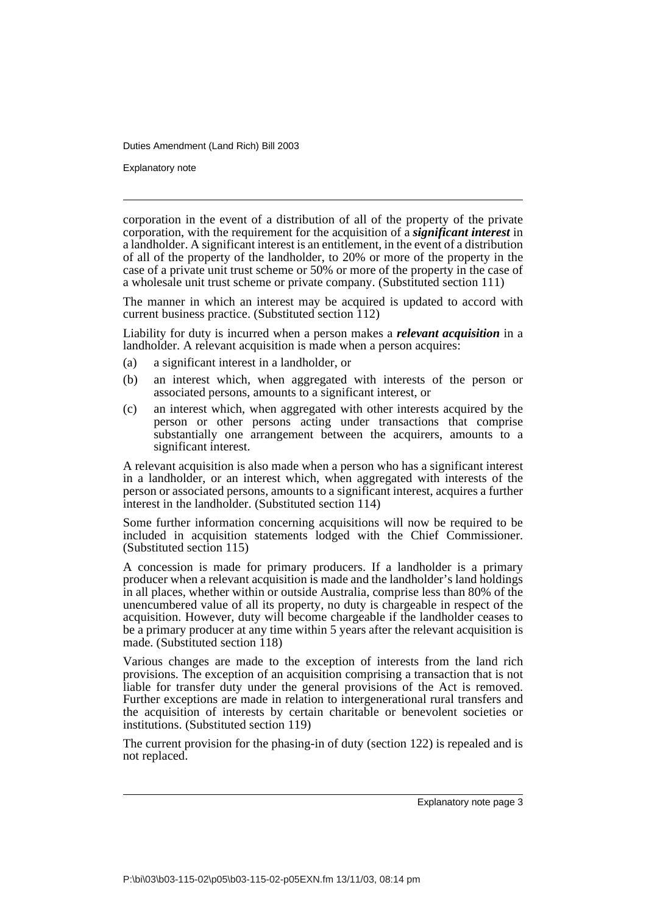Explanatory note

corporation in the event of a distribution of all of the property of the private corporation, with the requirement for the acquisition of a *significant interest* in a landholder. A significant interest is an entitlement, in the event of a distribution of all of the property of the landholder, to 20% or more of the property in the case of a private unit trust scheme or 50% or more of the property in the case of a wholesale unit trust scheme or private company. (Substituted section 111)

The manner in which an interest may be acquired is updated to accord with current business practice. (Substituted section 112)

Liability for duty is incurred when a person makes a *relevant acquisition* in a landholder. A relevant acquisition is made when a person acquires:

- (a) a significant interest in a landholder, or
- (b) an interest which, when aggregated with interests of the person or associated persons, amounts to a significant interest, or
- (c) an interest which, when aggregated with other interests acquired by the person or other persons acting under transactions that comprise substantially one arrangement between the acquirers, amounts to a significant interest.

A relevant acquisition is also made when a person who has a significant interest in a landholder, or an interest which, when aggregated with interests of the person or associated persons, amounts to a significant interest, acquires a further interest in the landholder. (Substituted section 114)

Some further information concerning acquisitions will now be required to be included in acquisition statements lodged with the Chief Commissioner. (Substituted section 115)

A concession is made for primary producers. If a landholder is a primary producer when a relevant acquisition is made and the landholder's land holdings in all places, whether within or outside Australia, comprise less than 80% of the unencumbered value of all its property, no duty is chargeable in respect of the acquisition. However, duty will become chargeable if the landholder ceases to be a primary producer at any time within 5 years after the relevant acquisition is made. (Substituted section 118)

Various changes are made to the exception of interests from the land rich provisions. The exception of an acquisition comprising a transaction that is not liable for transfer duty under the general provisions of the Act is removed. Further exceptions are made in relation to intergenerational rural transfers and the acquisition of interests by certain charitable or benevolent societies or institutions. (Substituted section 119)

The current provision for the phasing-in of duty (section 122) is repealed and is not replaced.

Explanatory note page 3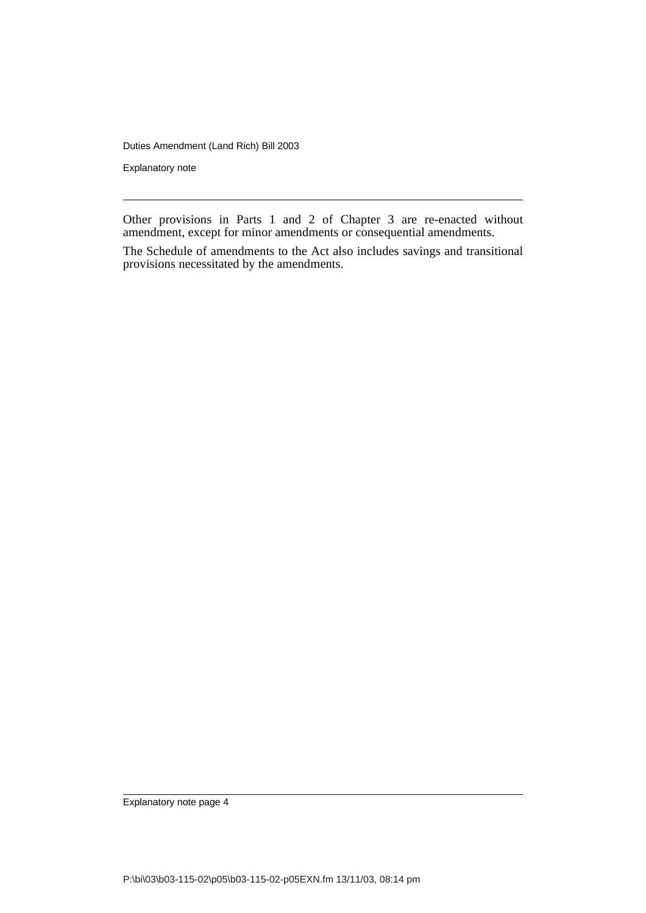Explanatory note

Other provisions in Parts 1 and 2 of Chapter 3 are re-enacted without amendment, except for minor amendments or consequential amendments.

The Schedule of amendments to the Act also includes savings and transitional provisions necessitated by the amendments.

Explanatory note page 4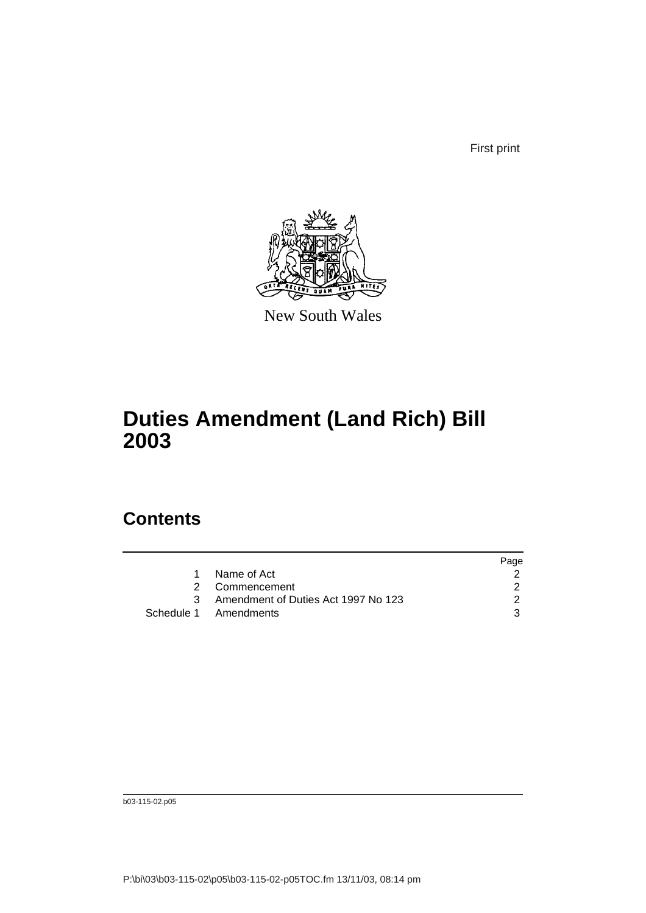First print



New South Wales

# **Duties Amendment (Land Rich) Bill 2003**

## **Contents**

|   |                                     | Page |
|---|-------------------------------------|------|
|   | Name of Act                         |      |
|   | 2 Commencement                      |      |
| ર | Amendment of Duties Act 1997 No 123 |      |
|   | Schedule 1 Amendments               | 3    |

b03-115-02.p05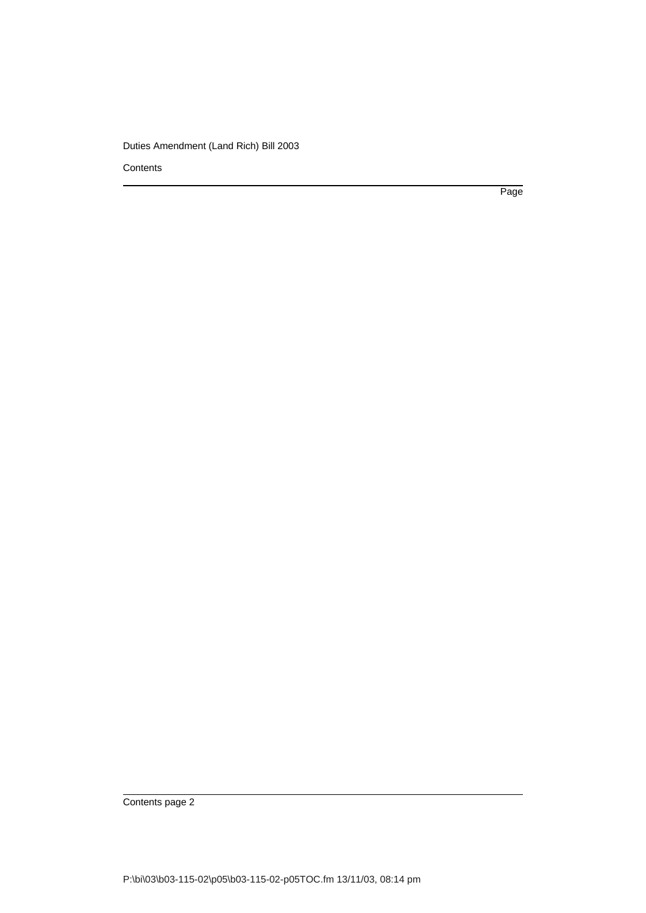**Contents** 

Page

Contents page 2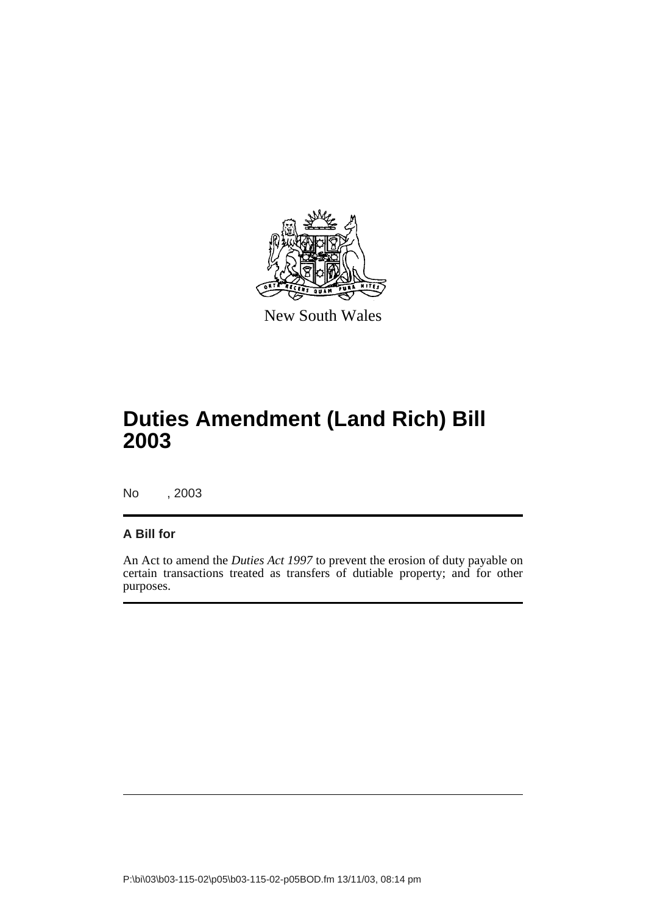

New South Wales

# **Duties Amendment (Land Rich) Bill 2003**

No , 2003

### **A Bill for**

An Act to amend the *Duties Act 1997* to prevent the erosion of duty payable on certain transactions treated as transfers of dutiable property; and for other purposes.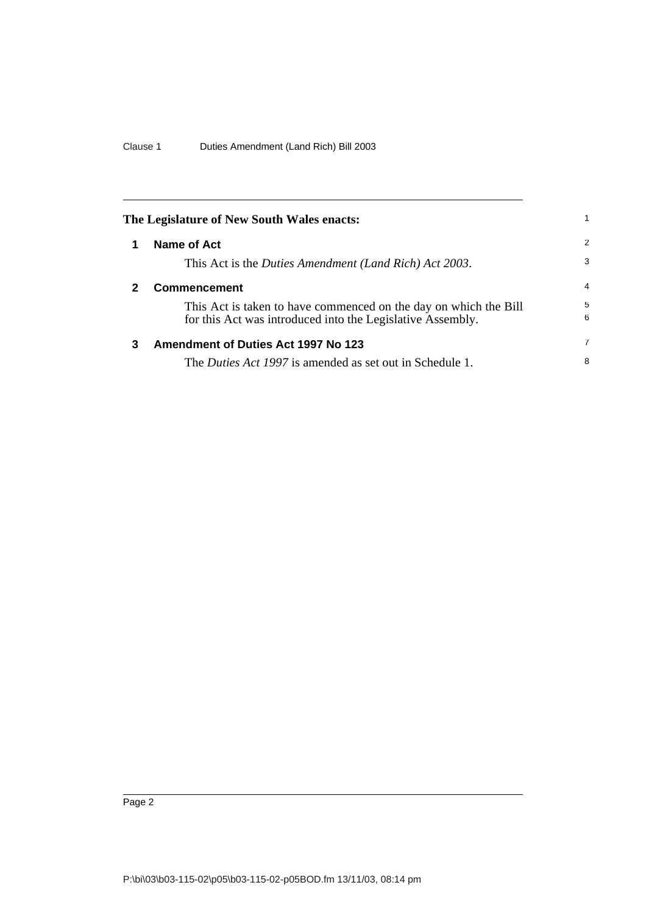| The Legislature of New South Wales enacts: |                                                                                                                                |                |
|--------------------------------------------|--------------------------------------------------------------------------------------------------------------------------------|----------------|
|                                            | Name of Act                                                                                                                    | 2              |
|                                            | This Act is the Duties Amendment (Land Rich) Act 2003.                                                                         | 3              |
|                                            | <b>Commencement</b>                                                                                                            | $\overline{4}$ |
|                                            | This Act is taken to have commenced on the day on which the Bill<br>for this Act was introduced into the Legislative Assembly. | 5<br>6         |
| 3                                          | <b>Amendment of Duties Act 1997 No 123</b>                                                                                     | 7              |
|                                            | The <i>Duties Act 1997</i> is amended as set out in Schedule 1.                                                                | 8              |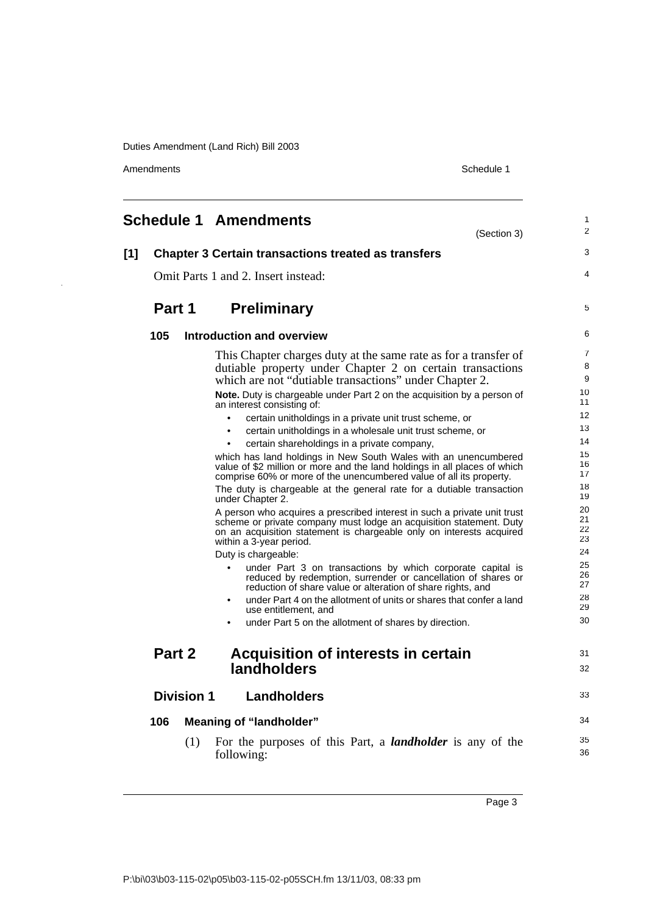Amendments Schedule 1

l,

|       |        |                   | <b>Schedule 1 Amendments</b><br>(Section 3)                                                                                                                                                                                                                                                                                                                                                                                                                                                                                                                                                                                                                                                                                                                                                                                                                                                                                                                                                                                                                                                                                                                                                                                                                                                                                                                                                                                                                                                                 | 1<br>2                                                                                                                                    |
|-------|--------|-------------------|-------------------------------------------------------------------------------------------------------------------------------------------------------------------------------------------------------------------------------------------------------------------------------------------------------------------------------------------------------------------------------------------------------------------------------------------------------------------------------------------------------------------------------------------------------------------------------------------------------------------------------------------------------------------------------------------------------------------------------------------------------------------------------------------------------------------------------------------------------------------------------------------------------------------------------------------------------------------------------------------------------------------------------------------------------------------------------------------------------------------------------------------------------------------------------------------------------------------------------------------------------------------------------------------------------------------------------------------------------------------------------------------------------------------------------------------------------------------------------------------------------------|-------------------------------------------------------------------------------------------------------------------------------------------|
| $[1]$ |        |                   | <b>Chapter 3 Certain transactions treated as transfers</b>                                                                                                                                                                                                                                                                                                                                                                                                                                                                                                                                                                                                                                                                                                                                                                                                                                                                                                                                                                                                                                                                                                                                                                                                                                                                                                                                                                                                                                                  | 3                                                                                                                                         |
|       |        |                   | Omit Parts 1 and 2. Insert instead:                                                                                                                                                                                                                                                                                                                                                                                                                                                                                                                                                                                                                                                                                                                                                                                                                                                                                                                                                                                                                                                                                                                                                                                                                                                                                                                                                                                                                                                                         | 4                                                                                                                                         |
|       |        | Part 1            | <b>Preliminary</b>                                                                                                                                                                                                                                                                                                                                                                                                                                                                                                                                                                                                                                                                                                                                                                                                                                                                                                                                                                                                                                                                                                                                                                                                                                                                                                                                                                                                                                                                                          | 5                                                                                                                                         |
|       | 105    |                   | Introduction and overview                                                                                                                                                                                                                                                                                                                                                                                                                                                                                                                                                                                                                                                                                                                                                                                                                                                                                                                                                                                                                                                                                                                                                                                                                                                                                                                                                                                                                                                                                   | 6                                                                                                                                         |
|       |        |                   | This Chapter charges duty at the same rate as for a transfer of<br>dutiable property under Chapter 2 on certain transactions<br>which are not "dutiable transactions" under Chapter 2.<br>Note. Duty is chargeable under Part 2 on the acquisition by a person of<br>an interest consisting of:<br>certain unitholdings in a private unit trust scheme, or<br>$\bullet$<br>certain unitholdings in a wholesale unit trust scheme, or<br>$\bullet$<br>certain shareholdings in a private company,<br>$\bullet$<br>which has land holdings in New South Wales with an unencumbered<br>value of \$2 million or more and the land holdings in all places of which<br>comprise 60% or more of the unencumbered value of all its property.<br>The duty is chargeable at the general rate for a dutiable transaction<br>under Chapter 2.<br>A person who acquires a prescribed interest in such a private unit trust<br>scheme or private company must lodge an acquisition statement. Duty<br>on an acquisition statement is chargeable only on interests acquired<br>within a 3-year period.<br>Duty is chargeable:<br>under Part 3 on transactions by which corporate capital is<br>$\bullet$<br>reduced by redemption, surrender or cancellation of shares or<br>reduction of share value or alteration of share rights, and<br>under Part 4 on the allotment of units or shares that confer a land<br>$\bullet$<br>use entitlement, and<br>under Part 5 on the allotment of shares by direction.<br>$\bullet$ | 7<br>8<br>9<br>10<br>11<br>12<br>13<br>14<br>15<br>16<br>17<br>18<br>19<br>20<br>21<br>22<br>23<br>24<br>25<br>26<br>27<br>28<br>29<br>30 |
|       | Part 2 |                   | Acquisition of interests in certain<br>landholders                                                                                                                                                                                                                                                                                                                                                                                                                                                                                                                                                                                                                                                                                                                                                                                                                                                                                                                                                                                                                                                                                                                                                                                                                                                                                                                                                                                                                                                          | 31<br>32                                                                                                                                  |
|       |        | <b>Division 1</b> | <b>Landholders</b>                                                                                                                                                                                                                                                                                                                                                                                                                                                                                                                                                                                                                                                                                                                                                                                                                                                                                                                                                                                                                                                                                                                                                                                                                                                                                                                                                                                                                                                                                          | 33                                                                                                                                        |
|       | 106    |                   | <b>Meaning of "landholder"</b>                                                                                                                                                                                                                                                                                                                                                                                                                                                                                                                                                                                                                                                                                                                                                                                                                                                                                                                                                                                                                                                                                                                                                                                                                                                                                                                                                                                                                                                                              | 34                                                                                                                                        |
|       |        | (1)               | For the purposes of this Part, a <i>landholder</i> is any of the<br>following:                                                                                                                                                                                                                                                                                                                                                                                                                                                                                                                                                                                                                                                                                                                                                                                                                                                                                                                                                                                                                                                                                                                                                                                                                                                                                                                                                                                                                              | 35<br>36                                                                                                                                  |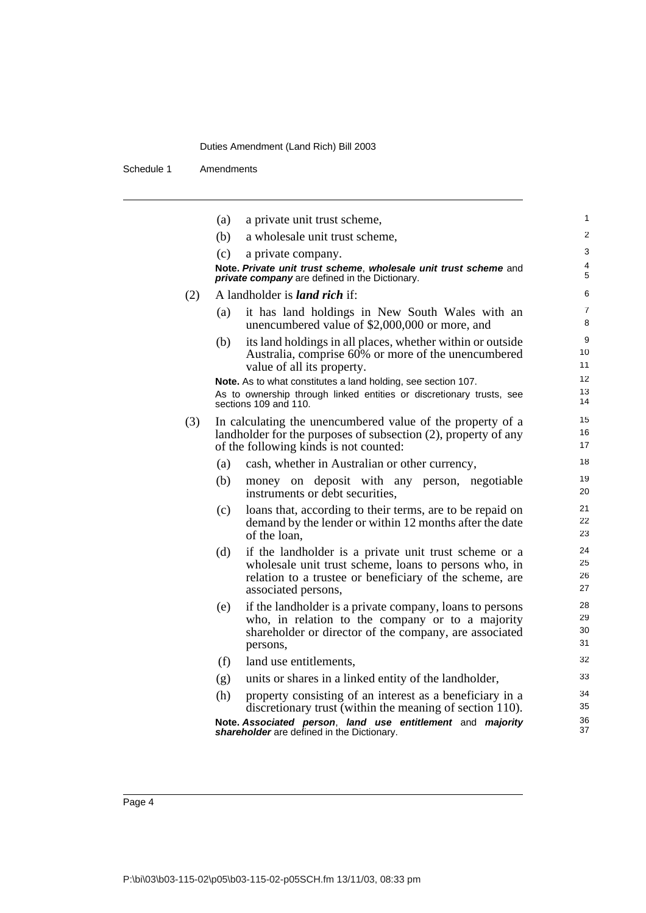Schedule 1 Amendments

|     | a private unit trust scheme,<br>(a)                                                                                                                                                                     | 1                    |
|-----|---------------------------------------------------------------------------------------------------------------------------------------------------------------------------------------------------------|----------------------|
|     | (b)<br>a wholesale unit trust scheme,                                                                                                                                                                   | $\overline{2}$       |
|     | (c)<br>a private company.                                                                                                                                                                               | 3                    |
|     | Note. Private unit trust scheme, wholesale unit trust scheme and<br>private company are defined in the Dictionary.                                                                                      | 4<br>5               |
| (2) | A landholder is <i>land rich</i> if:                                                                                                                                                                    | 6                    |
|     | it has land holdings in New South Wales with an<br>(a)<br>unencumbered value of \$2,000,000 or more, and                                                                                                | $\overline{7}$<br>8  |
|     | (b)<br>its land holdings in all places, whether within or outside<br>Australia, comprise 60% or more of the unencumbered<br>value of all its property.                                                  | 9<br>10<br>11        |
|     | Note. As to what constitutes a land holding, see section 107.<br>As to ownership through linked entities or discretionary trusts, see<br>sections 109 and 110.                                          | 12<br>13<br>14       |
| (3) | In calculating the unencumbered value of the property of a<br>landholder for the purposes of subsection $(2)$ , property of any<br>of the following kinds is not counted:                               | 15<br>16<br>17       |
|     | cash, whether in Australian or other currency,<br>(a)                                                                                                                                                   | 18                   |
|     | (b)<br>money on deposit with any person, negotiable<br>instruments or debt securities,                                                                                                                  | 19<br>20             |
|     | loans that, according to their terms, are to be repaid on<br>(c)<br>demand by the lender or within 12 months after the date<br>of the loan,                                                             | 21<br>22<br>23       |
|     | if the landholder is a private unit trust scheme or a<br>(d)<br>wholesale unit trust scheme, loans to persons who, in<br>relation to a trustee or beneficiary of the scheme, are<br>associated persons, | 24<br>25<br>26<br>27 |
|     | if the landholder is a private company, loans to persons<br>(e)<br>who, in relation to the company or to a majority<br>shareholder or director of the company, are associated<br>persons,               | 28<br>29<br>30<br>31 |
|     | (f)<br>land use entitlements,                                                                                                                                                                           | 32                   |
|     | units or shares in a linked entity of the landholder,<br>(g)                                                                                                                                            | 33                   |
|     | (h)<br>property consisting of an interest as a beneficiary in a<br>discretionary trust (within the meaning of section 110).                                                                             | 34<br>35             |
|     | Note. Associated person, land use entitlement and majority<br>shareholder are defined in the Dictionary.                                                                                                | 36<br>37             |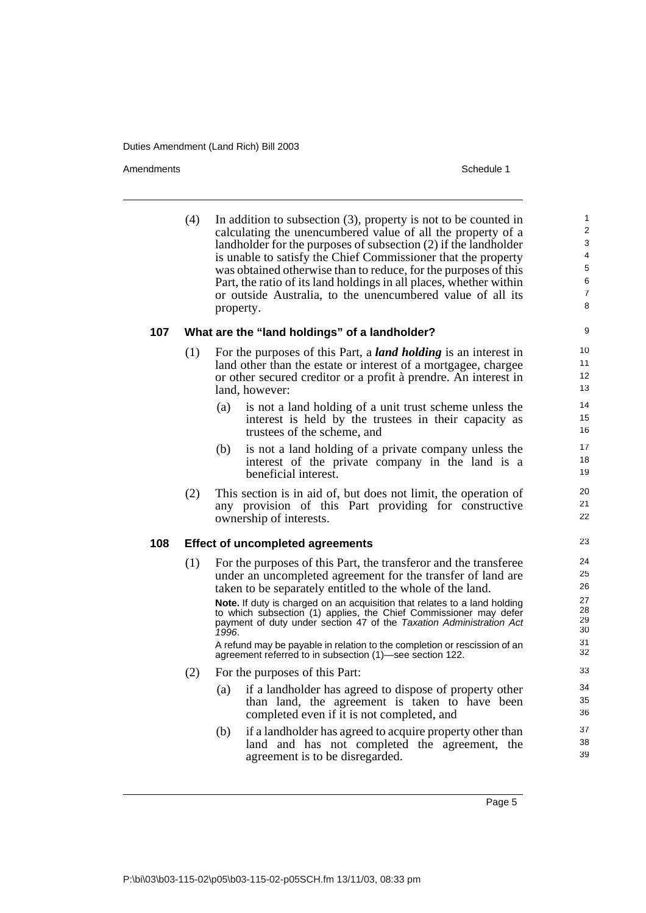Amendments Schedule 1

|     | (4) | In addition to subsection $(3)$ , property is not to be counted in<br>calculating the unencumbered value of all the property of a<br>landholder for the purposes of subsection (2) if the landholder<br>is unable to satisfy the Chief Commissioner that the property<br>was obtained otherwise than to reduce, for the purposes of this<br>Part, the ratio of its land holdings in all places, whether within<br>or outside Australia, to the unencumbered value of all its<br>property. | 1<br>2<br>3<br>$\overline{4}$<br>5<br>6<br>$\overline{7}$<br>8 |
|-----|-----|-------------------------------------------------------------------------------------------------------------------------------------------------------------------------------------------------------------------------------------------------------------------------------------------------------------------------------------------------------------------------------------------------------------------------------------------------------------------------------------------|----------------------------------------------------------------|
| 107 |     | What are the "land holdings" of a landholder?                                                                                                                                                                                                                                                                                                                                                                                                                                             | 9                                                              |
|     | (1) | For the purposes of this Part, a <i>land holding</i> is an interest in<br>land other than the estate or interest of a mortgagee, chargee<br>or other secured creditor or a profit à prendre. An interest in<br>land, however:                                                                                                                                                                                                                                                             | 10<br>11<br>12<br>13                                           |
|     |     | is not a land holding of a unit trust scheme unless the<br>(a)<br>interest is held by the trustees in their capacity as<br>trustees of the scheme, and                                                                                                                                                                                                                                                                                                                                    | 14<br>15<br>16                                                 |
|     |     | is not a land holding of a private company unless the<br>(b)<br>interest of the private company in the land is a<br>beneficial interest.                                                                                                                                                                                                                                                                                                                                                  | 17<br>18<br>19                                                 |
|     | (2) | This section is in aid of, but does not limit, the operation of<br>any provision of this Part providing for constructive<br>ownership of interests.                                                                                                                                                                                                                                                                                                                                       | 20<br>21<br>22                                                 |
| 108 |     | <b>Effect of uncompleted agreements</b>                                                                                                                                                                                                                                                                                                                                                                                                                                                   | 23                                                             |
|     | (1) | For the purposes of this Part, the transferor and the transferee<br>under an uncompleted agreement for the transfer of land are<br>taken to be separately entitled to the whole of the land.<br>Note. If duty is charged on an acquisition that relates to a land holding<br>to which subsection (1) applies, the Chief Commissioner may defer                                                                                                                                            | 24<br>25<br>26<br>27<br>28                                     |
|     |     | payment of duty under section 47 of the Taxation Administration Act<br>1996.<br>A refund may be payable in relation to the completion or rescission of an                                                                                                                                                                                                                                                                                                                                 | 29<br>30<br>31                                                 |
|     |     | agreement referred to in subsection (1)-see section 122.                                                                                                                                                                                                                                                                                                                                                                                                                                  | 32                                                             |
|     | (2) | For the purposes of this Part:                                                                                                                                                                                                                                                                                                                                                                                                                                                            | 33                                                             |
|     |     | if a landholder has agreed to dispose of property other<br>(a)<br>than land, the agreement is taken to have been<br>completed even if it is not completed, and                                                                                                                                                                                                                                                                                                                            | 34<br>35<br>36                                                 |
|     |     | if a landholder has agreed to acquire property other than<br>(b)<br>land and has not completed the agreement, the<br>agreement is to be disregarded.                                                                                                                                                                                                                                                                                                                                      | 37<br>38<br>39                                                 |
|     |     |                                                                                                                                                                                                                                                                                                                                                                                                                                                                                           |                                                                |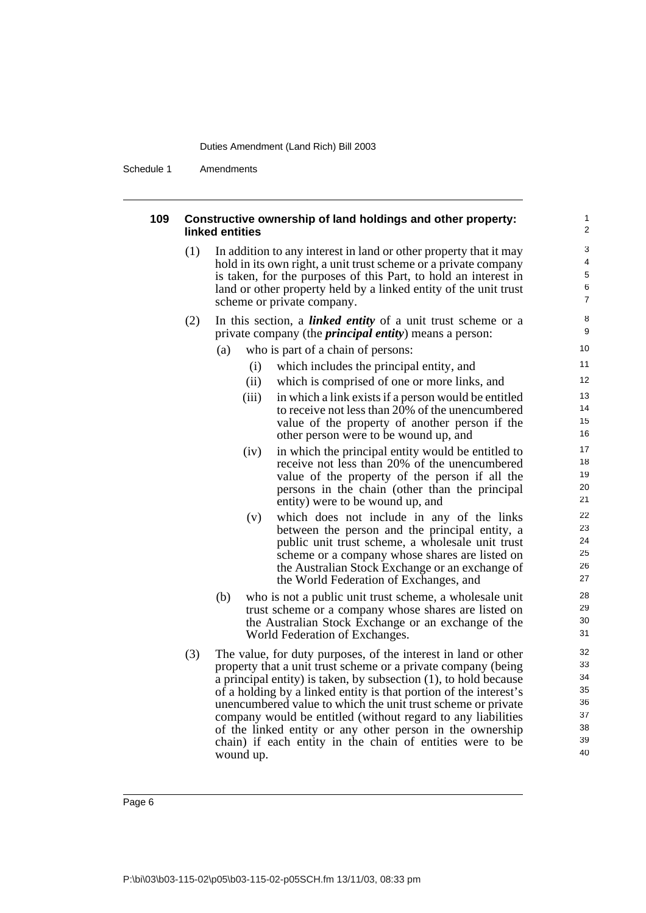Schedule 1 Amendments

### **109 Constructive ownership of land holdings and other property: linked entities**

(1) In addition to any interest in land or other property that it may hold in its own right, a unit trust scheme or a private company is taken, for the purposes of this Part, to hold an interest in land or other property held by a linked entity of the unit trust scheme or private company.

### (2) In this section, a *linked entity* of a unit trust scheme or a private company (the *principal entity*) means a person:

- (a) who is part of a chain of persons:
	- (i) which includes the principal entity, and
	- (ii) which is comprised of one or more links, and
	- (iii) in which a link exists if a person would be entitled to receive not less than 20% of the unencumbered value of the property of another person if the other person were to be wound up, and

- (iv) in which the principal entity would be entitled to receive not less than 20% of the unencumbered value of the property of the person if all the persons in the chain (other than the principal entity) were to be wound up, and
- (v) which does not include in any of the links between the person and the principal entity, a public unit trust scheme, a wholesale unit trust scheme or a company whose shares are listed on the Australian Stock Exchange or an exchange of the World Federation of Exchanges, and
- (b) who is not a public unit trust scheme, a wholesale unit trust scheme or a company whose shares are listed on the Australian Stock Exchange or an exchange of the World Federation of Exchanges.
- (3) The value, for duty purposes, of the interest in land or other property that a unit trust scheme or a private company (being a principal entity) is taken, by subsection (1), to hold because of a holding by a linked entity is that portion of the interest's unencumbered value to which the unit trust scheme or private company would be entitled (without regard to any liabilities of the linked entity or any other person in the ownership chain) if each entity in the chain of entities were to be wound up.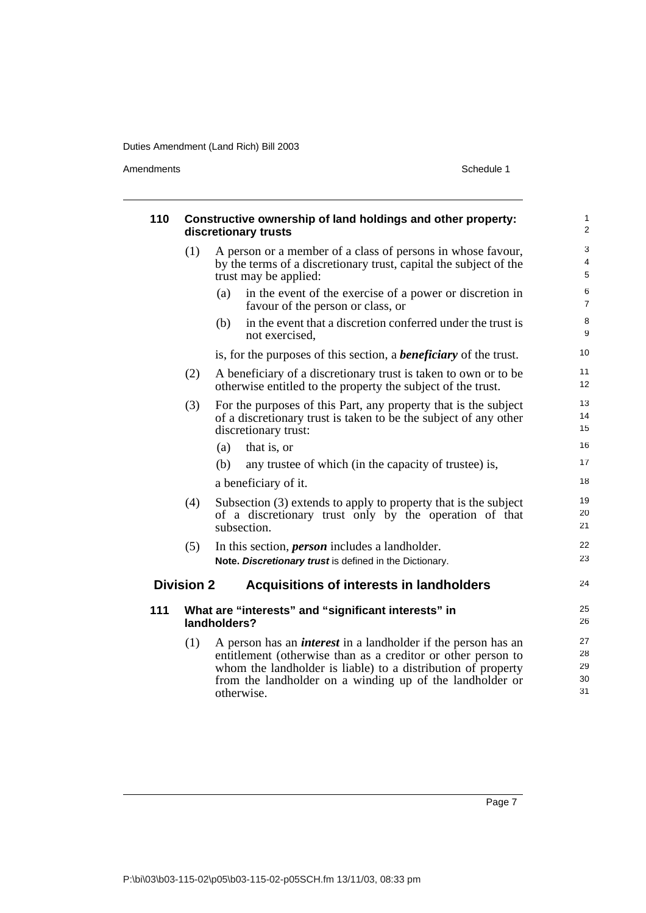Amendments Schedule 1

| 110 |                   | Constructive ownership of land holdings and other property:<br>discretionary trusts                                                                                                                                                                                            | $\mathbf{1}$<br>2          |
|-----|-------------------|--------------------------------------------------------------------------------------------------------------------------------------------------------------------------------------------------------------------------------------------------------------------------------|----------------------------|
|     | (1)               | A person or a member of a class of persons in whose favour,<br>by the terms of a discretionary trust, capital the subject of the<br>trust may be applied:                                                                                                                      | 3<br>$\overline{4}$<br>5   |
|     |                   | (a)<br>in the event of the exercise of a power or discretion in<br>favour of the person or class, or                                                                                                                                                                           | 6<br>$\overline{7}$        |
|     |                   | in the event that a discretion conferred under the trust is<br>(b)<br>not exercised,                                                                                                                                                                                           | 8<br>9                     |
|     |                   | is, for the purposes of this section, a <b>beneficiary</b> of the trust.                                                                                                                                                                                                       | 10                         |
|     | (2)               | A beneficiary of a discretionary trust is taken to own or to be<br>otherwise entitled to the property the subject of the trust.                                                                                                                                                | 11<br>12                   |
|     | (3)               | For the purposes of this Part, any property that is the subject<br>of a discretionary trust is taken to be the subject of any other<br>discretionary trust:                                                                                                                    | 13<br>14<br>15             |
|     |                   | that is, or<br>(a)                                                                                                                                                                                                                                                             | 16                         |
|     |                   | (b)<br>any trustee of which (in the capacity of trustee) is,                                                                                                                                                                                                                   | 17                         |
|     |                   | a beneficiary of it.                                                                                                                                                                                                                                                           | 18                         |
|     | (4)               | Subsection (3) extends to apply to property that is the subject<br>of a discretionary trust only by the operation of that<br>subsection.                                                                                                                                       | 19<br>20<br>21             |
|     | (5)               | In this section, <i>person</i> includes a landholder.                                                                                                                                                                                                                          | 22                         |
|     |                   | Note. Discretionary trust is defined in the Dictionary.                                                                                                                                                                                                                        | 23                         |
|     | <b>Division 2</b> | <b>Acquisitions of interests in landholders</b>                                                                                                                                                                                                                                | 24                         |
| 111 |                   | What are "interests" and "significant interests" in<br>landholders?                                                                                                                                                                                                            | 25<br>26                   |
|     | (1)               | A person has an <i>interest</i> in a landholder if the person has an<br>entitlement (otherwise than as a creditor or other person to<br>whom the landholder is liable) to a distribution of property<br>from the landholder on a winding up of the landholder or<br>otherwise. | 27<br>28<br>29<br>30<br>31 |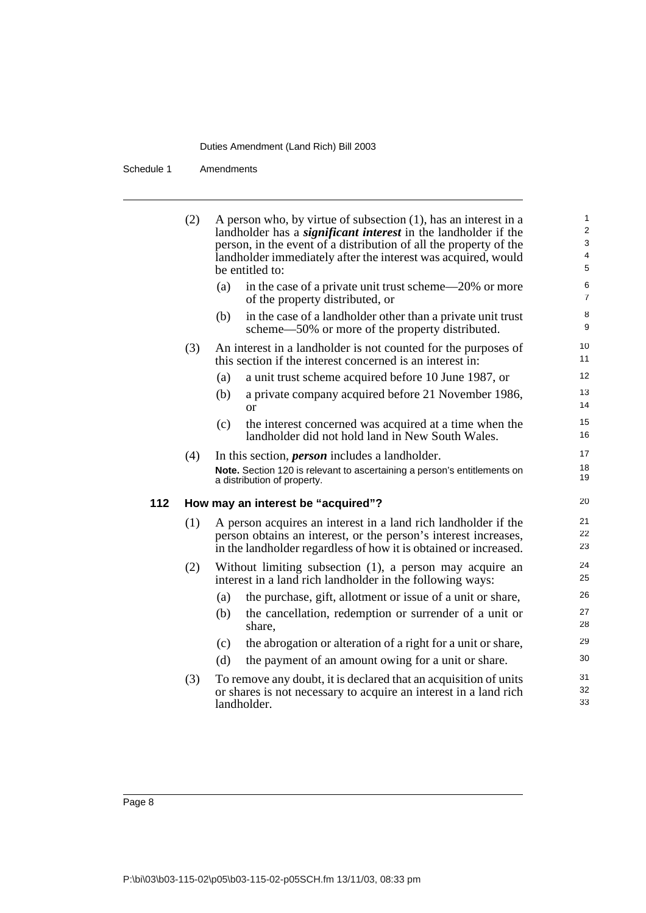Schedule 1 Amendments

|     | (2) |     | A person who, by virtue of subsection $(1)$ , has an interest in a<br>landholder has a <i>significant interest</i> in the landholder if the<br>person, in the event of a distribution of all the property of the<br>landholder immediately after the interest was acquired, would<br>be entitled to: | $\mathbf{1}$<br>2<br>3<br>4<br>5 |
|-----|-----|-----|------------------------------------------------------------------------------------------------------------------------------------------------------------------------------------------------------------------------------------------------------------------------------------------------------|----------------------------------|
|     |     | (a) | in the case of a private unit trust scheme—20% or more<br>of the property distributed, or                                                                                                                                                                                                            | 6<br>$\overline{7}$              |
|     |     | (b) | in the case of a landholder other than a private unit trust<br>scheme—50% or more of the property distributed.                                                                                                                                                                                       | 8<br>9                           |
|     | (3) |     | An interest in a landholder is not counted for the purposes of<br>this section if the interest concerned is an interest in:                                                                                                                                                                          | 10<br>11                         |
|     |     | (a) | a unit trust scheme acquired before 10 June 1987, or                                                                                                                                                                                                                                                 | 12 <sup>2</sup>                  |
|     |     | (b) | a private company acquired before 21 November 1986,<br><sub>or</sub>                                                                                                                                                                                                                                 | 13<br>14                         |
|     |     | (c) | the interest concerned was acquired at a time when the<br>landholder did not hold land in New South Wales.                                                                                                                                                                                           | 15<br>16                         |
|     | (4) |     | In this section, <i>person</i> includes a landholder.<br>Note. Section 120 is relevant to ascertaining a person's entitlements on<br>a distribution of property.                                                                                                                                     | 17<br>18<br>19                   |
| 112 |     |     | How may an interest be "acquired"?                                                                                                                                                                                                                                                                   | 20                               |
|     | (1) |     | A person acquires an interest in a land rich landholder if the<br>person obtains an interest, or the person's interest increases,<br>in the landholder regardless of how it is obtained or increased.                                                                                                | 21<br>22<br>23                   |
|     | (2) |     | Without limiting subsection (1), a person may acquire an<br>interest in a land rich landholder in the following ways:                                                                                                                                                                                | 24<br>25                         |
|     |     | (a) | the purchase, gift, allotment or issue of a unit or share,                                                                                                                                                                                                                                           | 26                               |
|     |     | (b) | the cancellation, redemption or surrender of a unit or<br>share.                                                                                                                                                                                                                                     | 27<br>28                         |
|     |     | (c) | the abrogation or alteration of a right for a unit or share,                                                                                                                                                                                                                                         | 29                               |
|     |     | (d) | the payment of an amount owing for a unit or share.                                                                                                                                                                                                                                                  | 30                               |
|     | (3) |     | To remove any doubt, it is declared that an acquisition of units<br>or shares is not necessary to acquire an interest in a land rich<br>landholder.                                                                                                                                                  | 31<br>32<br>33                   |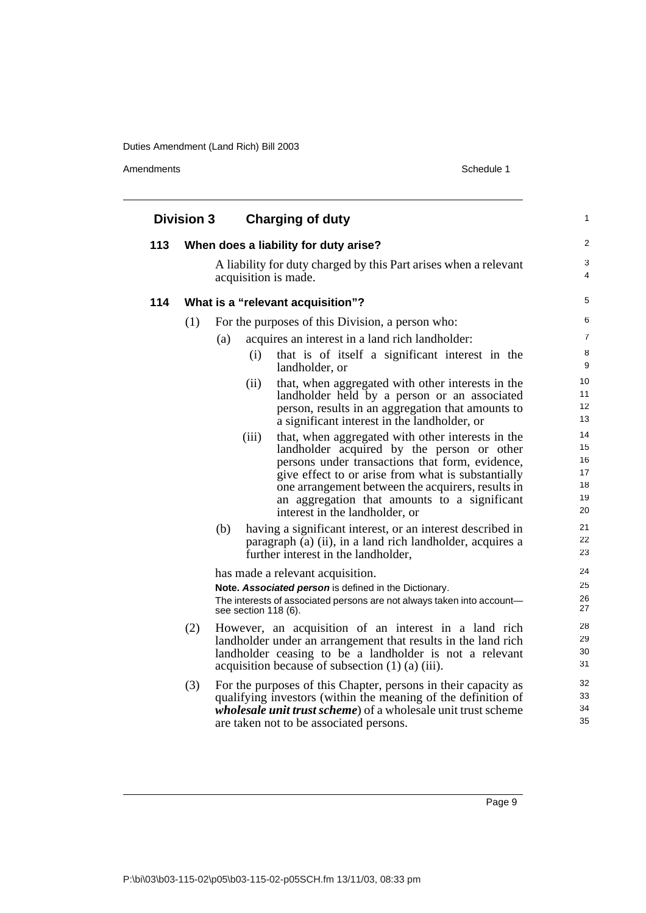Amendments Schedule 1

|     | <b>Division 3</b> | <b>Charging of duty</b>                                                                                                                                                                                                                                                                                                                                  | 1                                      |
|-----|-------------------|----------------------------------------------------------------------------------------------------------------------------------------------------------------------------------------------------------------------------------------------------------------------------------------------------------------------------------------------------------|----------------------------------------|
| 113 |                   | When does a liability for duty arise?                                                                                                                                                                                                                                                                                                                    | 2                                      |
|     |                   | A liability for duty charged by this Part arises when a relevant<br>acquisition is made.                                                                                                                                                                                                                                                                 | 3<br>4                                 |
| 114 |                   | What is a "relevant acquisition"?                                                                                                                                                                                                                                                                                                                        | 5                                      |
|     | (1)               | For the purposes of this Division, a person who:                                                                                                                                                                                                                                                                                                         | 6                                      |
|     |                   | acquires an interest in a land rich landholder:<br>(a)                                                                                                                                                                                                                                                                                                   | $\overline{7}$                         |
|     |                   | that is of itself a significant interest in the<br>(i)<br>landholder, or                                                                                                                                                                                                                                                                                 | 8<br>9                                 |
|     |                   | that, when aggregated with other interests in the<br>(ii)<br>landholder held by a person or an associated<br>person, results in an aggregation that amounts to<br>a significant interest in the landholder, or                                                                                                                                           | 10<br>11<br>12<br>13                   |
|     |                   | that, when aggregated with other interests in the<br>(iii)<br>landholder acquired by the person or other<br>persons under transactions that form, evidence,<br>give effect to or arise from what is substantially<br>one arrangement between the acquirers, results in<br>an aggregation that amounts to a significant<br>interest in the landholder, or | 14<br>15<br>16<br>17<br>18<br>19<br>20 |
|     |                   | (b)<br>having a significant interest, or an interest described in<br>paragraph (a) (ii), in a land rich landholder, acquires a<br>further interest in the landholder,                                                                                                                                                                                    | 21<br>22<br>23                         |
|     |                   | has made a relevant acquisition.<br>Note. Associated person is defined in the Dictionary.<br>The interests of associated persons are not always taken into account-<br>see section 118 (6).                                                                                                                                                              | 24<br>25<br>26<br>27                   |
|     | (2)               | However, an acquisition of an interest in a land rich<br>landholder under an arrangement that results in the land rich<br>landholder ceasing to be a landholder is not a relevant<br>acquisition because of subsection $(1)$ $(a)$ $(iii)$ .                                                                                                             | 28<br>29<br>30<br>31                   |
|     | (3)               | For the purposes of this Chapter, persons in their capacity as<br>qualifying investors (within the meaning of the definition of<br><i>wholesale unit trust scheme</i> ) of a wholesale unit trust scheme<br>are taken not to be associated persons.                                                                                                      | 32<br>33<br>34<br>35                   |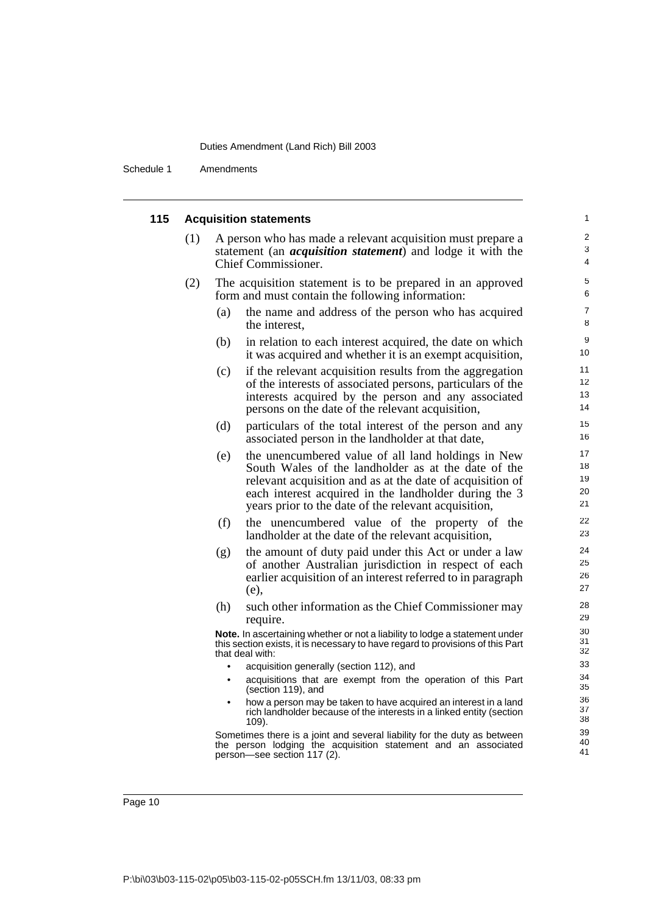Schedule 1 Amendments

## **115 Acquisition statements**

| (1) | A person who has made a relevant acquisition must prepare a<br>statement (an <i>acquisition statement</i> ) and lodge it with the<br>Chief Commissioner.                                                                                                                                       | 2<br>3<br>4                |
|-----|------------------------------------------------------------------------------------------------------------------------------------------------------------------------------------------------------------------------------------------------------------------------------------------------|----------------------------|
| (2) | The acquisition statement is to be prepared in an approved<br>form and must contain the following information:                                                                                                                                                                                 | 5<br>6                     |
|     | (a)<br>the name and address of the person who has acquired<br>the interest,                                                                                                                                                                                                                    | 7<br>8                     |
|     | in relation to each interest acquired, the date on which<br>(b)<br>it was acquired and whether it is an exempt acquisition,                                                                                                                                                                    | 9<br>10                    |
|     | if the relevant acquisition results from the aggregation<br>(c)<br>of the interests of associated persons, particulars of the<br>interests acquired by the person and any associated<br>persons on the date of the relevant acquisition,                                                       | 11<br>12<br>13<br>14       |
|     | (d)<br>particulars of the total interest of the person and any<br>associated person in the landholder at that date,                                                                                                                                                                            | 15<br>16                   |
|     | the unencumbered value of all land holdings in New<br>(e)<br>South Wales of the landholder as at the date of the<br>relevant acquisition and as at the date of acquisition of<br>each interest acquired in the landholder during the 3<br>years prior to the date of the relevant acquisition, | 17<br>18<br>19<br>20<br>21 |
|     | (f)<br>the unencumbered value of the property of the<br>landholder at the date of the relevant acquisition,                                                                                                                                                                                    | 22<br>23                   |
|     | the amount of duty paid under this Act or under a law<br>(g)<br>of another Australian jurisdiction in respect of each<br>earlier acquisition of an interest referred to in paragraph<br>(e),                                                                                                   | 24<br>25<br>26<br>27       |
|     | such other information as the Chief Commissioner may<br>(h)<br>require.                                                                                                                                                                                                                        | 28<br>29                   |
|     | Note. In ascertaining whether or not a liability to lodge a statement under<br>this section exists, it is necessary to have regard to provisions of this Part<br>that deal with:                                                                                                               | 30<br>31<br>32             |
|     | acquisition generally (section 112), and<br>$\bullet$                                                                                                                                                                                                                                          | 33                         |
|     | acquisitions that are exempt from the operation of this Part<br>$\bullet$<br>(section 119), and                                                                                                                                                                                                | 34<br>35                   |
|     | how a person may be taken to have acquired an interest in a land<br>$\bullet$<br>rich landholder because of the interests in a linked entity (section<br>109).                                                                                                                                 | 36<br>37<br>38             |
|     | Sometimes there is a joint and several liability for the duty as between<br>the person lodging the acquisition statement and an associated<br>person-see section 117 (2).                                                                                                                      | 39<br>40<br>41             |

1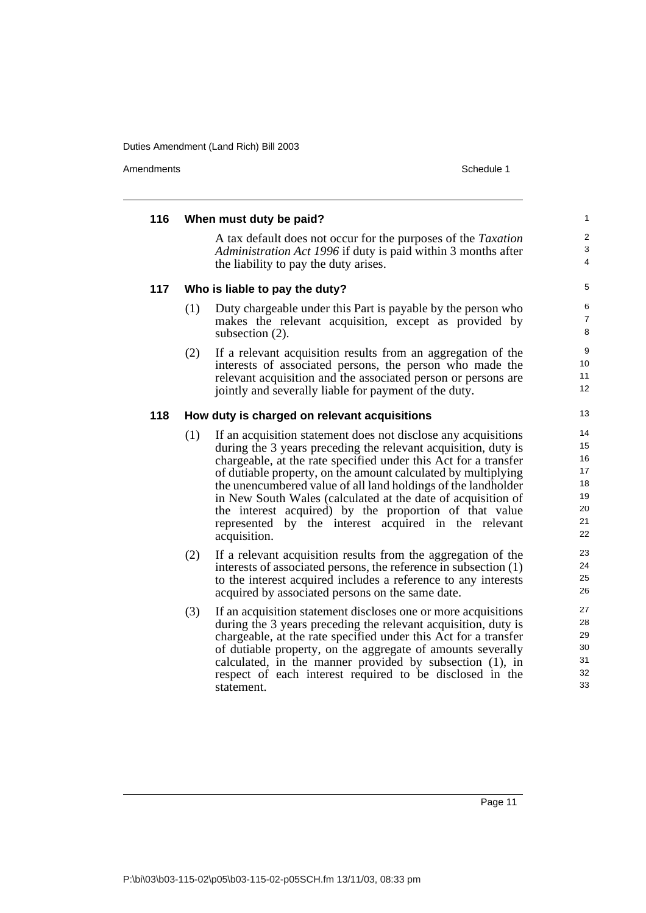Amendments Schedule 1

| 116<br>When must duty be paid?<br>A tax default does not occur for the purposes of the Taxation<br>Administration Act 1996 if duty is paid within 3 months after<br>the liability to pay the duty arises.<br>117<br>Who is liable to pay the duty?<br>Duty chargeable under this Part is payable by the person who<br>(1)<br>makes the relevant acquisition, except as provided by<br>subsection (2).<br>(2)<br>If a relevant acquisition results from an aggregation of the<br>interests of associated persons, the person who made the<br>relevant acquisition and the associated person or persons are<br>jointly and severally liable for payment of the duty.<br>118<br>How duty is charged on relevant acquisitions<br>(1)<br>If an acquisition statement does not disclose any acquisitions<br>during the 3 years preceding the relevant acquisition, duty is<br>chargeable, at the rate specified under this Act for a transfer<br>of dutiable property, on the amount calculated by multiplying<br>the unencumbered value of all land holdings of the landholder<br>in New South Wales (calculated at the date of acquisition of<br>the interest acquired) by the proportion of that value<br>represented by the interest acquired in the relevant<br>acquisition.<br>(2)<br>If a relevant acquisition results from the aggregation of the<br>interests of associated persons, the reference in subsection (1)<br>to the interest acquired includes a reference to any interests<br>acquired by associated persons on the same date.<br>(3)<br>If an acquisition statement discloses one or more acquisitions<br>during the 3 years preceding the relevant acquisition, duty is<br>chargeable, at the rate specified under this Act for a transfer<br>of dutiable property, on the aggregate of amounts severally<br>calculated, in the manner provided by subsection (1), in<br>respect of each interest required to be disclosed in the<br>statement. |  |                                                    |
|------------------------------------------------------------------------------------------------------------------------------------------------------------------------------------------------------------------------------------------------------------------------------------------------------------------------------------------------------------------------------------------------------------------------------------------------------------------------------------------------------------------------------------------------------------------------------------------------------------------------------------------------------------------------------------------------------------------------------------------------------------------------------------------------------------------------------------------------------------------------------------------------------------------------------------------------------------------------------------------------------------------------------------------------------------------------------------------------------------------------------------------------------------------------------------------------------------------------------------------------------------------------------------------------------------------------------------------------------------------------------------------------------------------------------------------------------------------------------------------------------------------------------------------------------------------------------------------------------------------------------------------------------------------------------------------------------------------------------------------------------------------------------------------------------------------------------------------------------------------------------------------------------------------------------------------------------------------|--|----------------------------------------------------|
|                                                                                                                                                                                                                                                                                                                                                                                                                                                                                                                                                                                                                                                                                                                                                                                                                                                                                                                                                                                                                                                                                                                                                                                                                                                                                                                                                                                                                                                                                                                                                                                                                                                                                                                                                                                                                                                                                                                                                                  |  | 1                                                  |
|                                                                                                                                                                                                                                                                                                                                                                                                                                                                                                                                                                                                                                                                                                                                                                                                                                                                                                                                                                                                                                                                                                                                                                                                                                                                                                                                                                                                                                                                                                                                                                                                                                                                                                                                                                                                                                                                                                                                                                  |  | $\overline{a}$<br>3<br>4                           |
|                                                                                                                                                                                                                                                                                                                                                                                                                                                                                                                                                                                                                                                                                                                                                                                                                                                                                                                                                                                                                                                                                                                                                                                                                                                                                                                                                                                                                                                                                                                                                                                                                                                                                                                                                                                                                                                                                                                                                                  |  | 5                                                  |
|                                                                                                                                                                                                                                                                                                                                                                                                                                                                                                                                                                                                                                                                                                                                                                                                                                                                                                                                                                                                                                                                                                                                                                                                                                                                                                                                                                                                                                                                                                                                                                                                                                                                                                                                                                                                                                                                                                                                                                  |  | 6<br>7<br>8                                        |
|                                                                                                                                                                                                                                                                                                                                                                                                                                                                                                                                                                                                                                                                                                                                                                                                                                                                                                                                                                                                                                                                                                                                                                                                                                                                                                                                                                                                                                                                                                                                                                                                                                                                                                                                                                                                                                                                                                                                                                  |  | 9<br>10<br>11<br>12                                |
|                                                                                                                                                                                                                                                                                                                                                                                                                                                                                                                                                                                                                                                                                                                                                                                                                                                                                                                                                                                                                                                                                                                                                                                                                                                                                                                                                                                                                                                                                                                                                                                                                                                                                                                                                                                                                                                                                                                                                                  |  | 13                                                 |
|                                                                                                                                                                                                                                                                                                                                                                                                                                                                                                                                                                                                                                                                                                                                                                                                                                                                                                                                                                                                                                                                                                                                                                                                                                                                                                                                                                                                                                                                                                                                                                                                                                                                                                                                                                                                                                                                                                                                                                  |  | 14<br>15<br>16<br>17<br>18<br>19<br>20<br>21<br>22 |
|                                                                                                                                                                                                                                                                                                                                                                                                                                                                                                                                                                                                                                                                                                                                                                                                                                                                                                                                                                                                                                                                                                                                                                                                                                                                                                                                                                                                                                                                                                                                                                                                                                                                                                                                                                                                                                                                                                                                                                  |  | 23<br>24<br>25<br>26                               |
|                                                                                                                                                                                                                                                                                                                                                                                                                                                                                                                                                                                                                                                                                                                                                                                                                                                                                                                                                                                                                                                                                                                                                                                                                                                                                                                                                                                                                                                                                                                                                                                                                                                                                                                                                                                                                                                                                                                                                                  |  | 27<br>28<br>29<br>30<br>31<br>32<br>33             |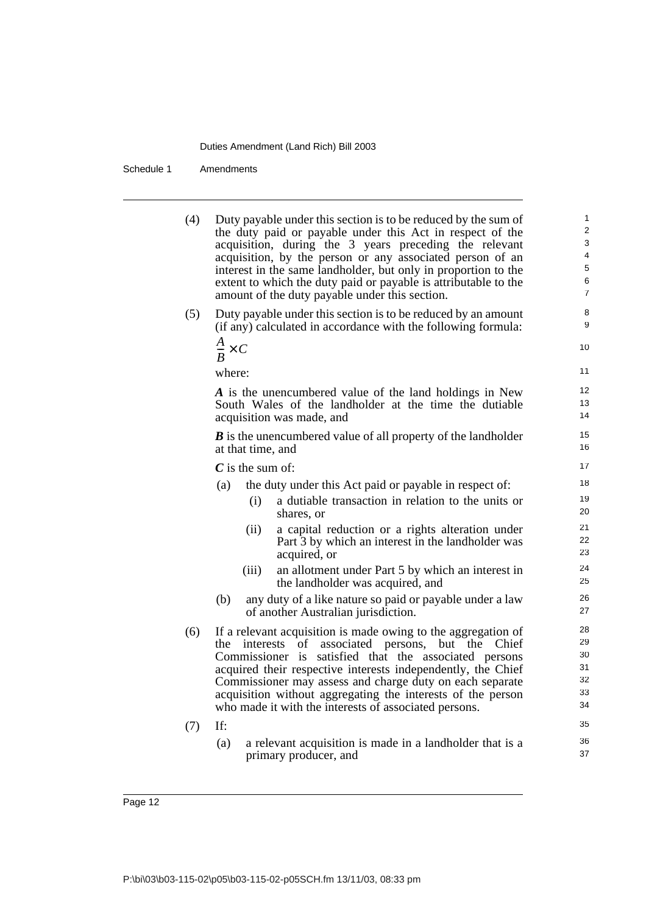Schedule 1 Amendments

| (4) | Duty payable under this section is to be reduced by the sum of<br>the duty paid or payable under this Act in respect of the<br>acquisition, during the 3 years preceding the relevant<br>acquisition, by the person or any associated person of an<br>interest in the same landholder, but only in proportion to the<br>extent to which the duty paid or payable is attributable to the<br>amount of the duty payable under this section. | 1<br>$\overline{\mathbf{c}}$<br>3<br>$\overline{4}$<br>5<br>6<br>$\overline{7}$ |
|-----|-------------------------------------------------------------------------------------------------------------------------------------------------------------------------------------------------------------------------------------------------------------------------------------------------------------------------------------------------------------------------------------------------------------------------------------------|---------------------------------------------------------------------------------|
| (5) | Duty payable under this section is to be reduced by an amount<br>(if any) calculated in accordance with the following formula:                                                                                                                                                                                                                                                                                                            | 8<br>9                                                                          |
|     | $rac{A}{B} \times C$                                                                                                                                                                                                                                                                                                                                                                                                                      | 10                                                                              |
|     | where:                                                                                                                                                                                                                                                                                                                                                                                                                                    | 11                                                                              |
|     | A is the unencumbered value of the land holdings in New<br>South Wales of the landholder at the time the dutiable<br>acquisition was made, and                                                                                                                                                                                                                                                                                            | 12<br>13<br>14                                                                  |
|     | $\boldsymbol{B}$ is the unencumbered value of all property of the landholder<br>at that time, and                                                                                                                                                                                                                                                                                                                                         | 15<br>16                                                                        |
|     | $\mathcal C$ is the sum of:                                                                                                                                                                                                                                                                                                                                                                                                               | 17                                                                              |
|     | the duty under this Act paid or payable in respect of:<br>(a)                                                                                                                                                                                                                                                                                                                                                                             | 18                                                                              |
|     | a dutiable transaction in relation to the units or<br>(i)<br>shares, or                                                                                                                                                                                                                                                                                                                                                                   | 19<br>20                                                                        |

- (ii) a capital reduction or a rights alteration under Part 3 by which an interest in the landholder was acquired, or
- (iii) an allotment under Part 5 by which an interest in the landholder was acquired, and
- (b) any duty of a like nature so paid or payable under a law of another Australian jurisdiction.
- (6) If a relevant acquisition is made owing to the aggregation of the interests of associated persons, but the Chief Commissioner is satisfied that the associated persons acquired their respective interests independently, the Chief Commissioner may assess and charge duty on each separate acquisition without aggregating the interests of the person who made it with the interests of associated persons.
- (7) If:
	- (a) a relevant acquisition is made in a landholder that is a primary producer, and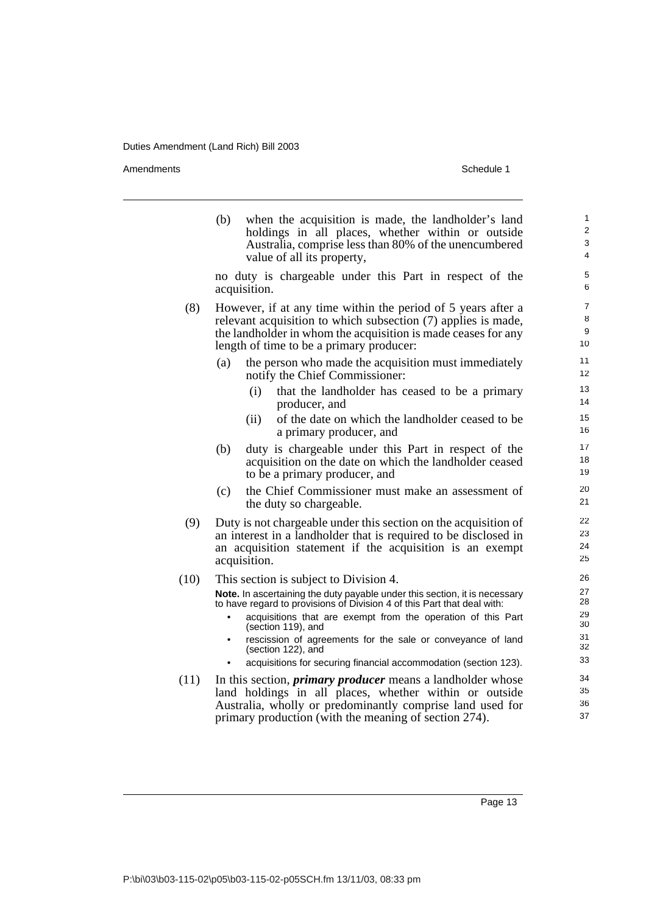Amendments Schedule 1

|      | (b)<br>when the acquisition is made, the landholder's land<br>holdings in all places, whether within or outside<br>Australia, comprise less than 80% of the unencumbered<br>value of all its property,                                                                                | 1<br>$\overline{2}$<br>3<br>4  |
|------|---------------------------------------------------------------------------------------------------------------------------------------------------------------------------------------------------------------------------------------------------------------------------------------|--------------------------------|
|      | no duty is chargeable under this Part in respect of the<br>acquisition.                                                                                                                                                                                                               | 5<br>6                         |
| (8)  | However, if at any time within the period of 5 years after a<br>relevant acquisition to which subsection (7) applies is made,<br>the landholder in whom the acquisition is made ceases for any<br>length of time to be a primary producer:                                            | $\overline{7}$<br>8<br>9<br>10 |
|      | the person who made the acquisition must immediately<br>(a)<br>notify the Chief Commissioner:                                                                                                                                                                                         | 11<br>12 <sup>2</sup>          |
|      | (i)<br>that the landholder has ceased to be a primary<br>producer, and                                                                                                                                                                                                                | 13<br>14                       |
|      | of the date on which the landholder ceased to be<br>(ii)<br>a primary producer, and                                                                                                                                                                                                   | 15<br>16                       |
|      | duty is chargeable under this Part in respect of the<br>(b)<br>acquisition on the date on which the landholder ceased<br>to be a primary producer, and                                                                                                                                | 17<br>18<br>19                 |
|      | the Chief Commissioner must make an assessment of<br>(c)<br>the duty so chargeable.                                                                                                                                                                                                   | 20<br>21                       |
| (9)  | Duty is not chargeable under this section on the acquisition of<br>an interest in a landholder that is required to be disclosed in<br>an acquisition statement if the acquisition is an exempt<br>acquisition.                                                                        | 22<br>23<br>24<br>25           |
| (10) | This section is subject to Division 4.<br>Note. In ascertaining the duty payable under this section, it is necessary<br>to have regard to provisions of Division 4 of this Part that deal with:<br>acquisitions that are exempt from the operation of this Part<br>(section 119), and | 26<br>27<br>28<br>29<br>30     |
|      | rescission of agreements for the sale or conveyance of land<br>$\bullet$<br>(section 122), and<br>acquisitions for securing financial accommodation (section 123).<br>$\bullet$                                                                                                       | 31<br>32<br>33                 |
| (11) | In this section, <i>primary producer</i> means a landholder whose<br>land holdings in all places, whether within or outside<br>Australia, wholly or predominantly comprise land used for<br>primary production (with the meaning of section 274).                                     | 34<br>35<br>36<br>37           |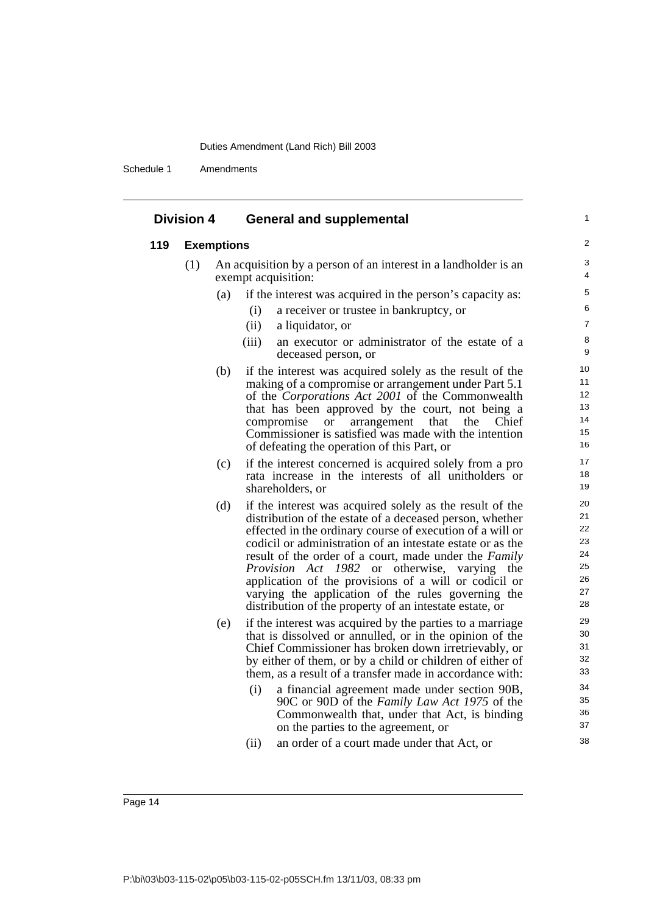Schedule 1 Amendments

| <b>Division 4</b> |     |                   | <b>General and supplemental</b>                                                                                         |                |
|-------------------|-----|-------------------|-------------------------------------------------------------------------------------------------------------------------|----------------|
| 119               |     | <b>Exemptions</b> |                                                                                                                         | 2              |
|                   | (1) |                   | An acquisition by a person of an interest in a landholder is an<br>exempt acquisition:                                  | 3<br>4         |
|                   |     | (a)               | if the interest was acquired in the person's capacity as:                                                               | 5              |
|                   |     |                   | a receiver or trustee in bankruptcy, or<br>(i)                                                                          | 6              |
|                   |     |                   | (ii)<br>a liquidator, or                                                                                                | $\overline{7}$ |
|                   |     |                   | (iii)<br>an executor or administrator of the estate of a                                                                | $\,8\,$        |
|                   |     |                   | deceased person, or                                                                                                     | 9              |
|                   |     | (b)               | if the interest was acquired solely as the result of the                                                                | 10             |
|                   |     |                   | making of a compromise or arrangement under Part 5.1                                                                    | 11             |
|                   |     |                   | of the Corporations Act 2001 of the Commonwealth                                                                        | 12<br>13       |
|                   |     |                   | that has been approved by the court, not being a                                                                        | 14             |
|                   |     |                   | that<br>the<br>compromise<br><b>or</b><br>arrangement<br>Chief<br>Commissioner is satisfied was made with the intention | 15             |
|                   |     |                   | of defeating the operation of this Part, or                                                                             | 16             |
|                   |     | (c)               | if the interest concerned is acquired solely from a pro                                                                 | 17             |
|                   |     |                   | rata increase in the interests of all unitholders or                                                                    | 18             |
|                   |     |                   | shareholders, or                                                                                                        | 19             |
|                   |     | (d)               | if the interest was acquired solely as the result of the                                                                | 20             |
|                   |     |                   | distribution of the estate of a deceased person, whether                                                                | 21             |
|                   |     |                   | effected in the ordinary course of execution of a will or                                                               | 22<br>23       |
|                   |     |                   | codicil or administration of an intestate estate or as the<br>result of the order of a court, made under the Family     | 24             |
|                   |     |                   | <i>Provision Act 1982</i> or otherwise, varying<br>the                                                                  | 25             |
|                   |     |                   | application of the provisions of a will or codicil or                                                                   | 26             |
|                   |     |                   | varying the application of the rules governing the                                                                      | 27             |
|                   |     |                   | distribution of the property of an intestate estate, or                                                                 | 28             |
|                   |     | (e)               | if the interest was acquired by the parties to a marriage                                                               | 29             |
|                   |     |                   | that is dissolved or annulled, or in the opinion of the                                                                 | 30             |
|                   |     |                   | Chief Commissioner has broken down irretrievably, or                                                                    | 31             |
|                   |     |                   | by either of them, or by a child or children of either of                                                               | 32             |
|                   |     |                   | them, as a result of a transfer made in accordance with:                                                                | 33             |
|                   |     |                   | (i)<br>a financial agreement made under section 90B,                                                                    | 34             |
|                   |     |                   | 90C or 90D of the Family Law Act 1975 of the                                                                            | 35             |
|                   |     |                   | Commonwealth that, under that Act, is binding                                                                           | 36<br>37       |
|                   |     |                   | on the parties to the agreement, or                                                                                     |                |
|                   |     |                   | an order of a court made under that Act, or<br>(ii)                                                                     | 38             |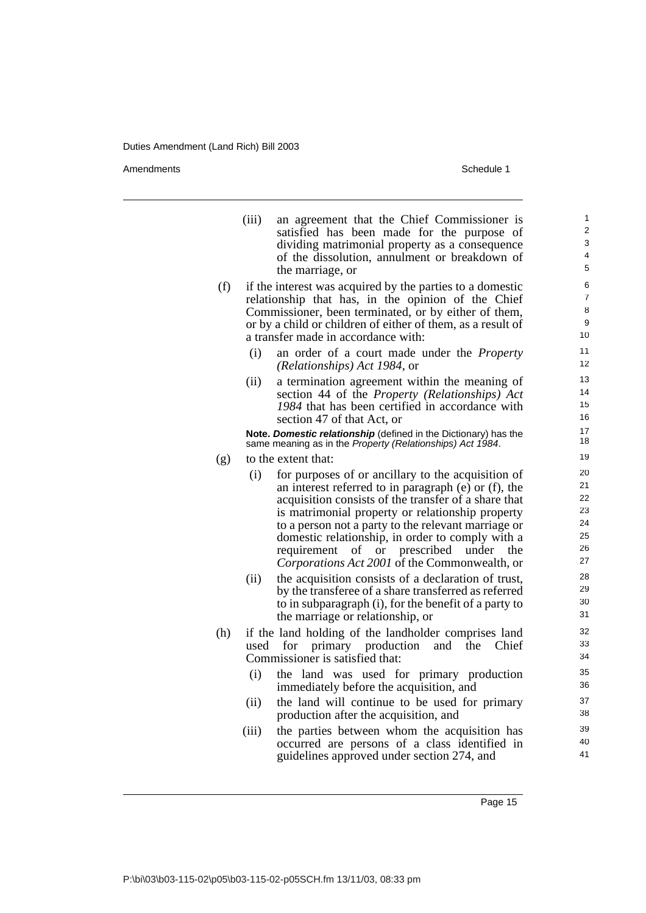Amendments Schedule 1

|     | (iii) | an agreement that the Chief Commissioner is<br>satisfied has been made for the purpose of<br>dividing matrimonial property as a consequence<br>of the dissolution, annulment or breakdown of<br>the marriage, or                                                                                                                                                                                                                                   |
|-----|-------|----------------------------------------------------------------------------------------------------------------------------------------------------------------------------------------------------------------------------------------------------------------------------------------------------------------------------------------------------------------------------------------------------------------------------------------------------|
| (f) |       | if the interest was acquired by the parties to a domestic<br>relationship that has, in the opinion of the Chief<br>Commissioner, been terminated, or by either of them,<br>or by a child or children of either of them, as a result of<br>a transfer made in accordance with:                                                                                                                                                                      |
|     | (i)   | an order of a court made under the <i>Property</i><br>(Relationships) Act 1984, or                                                                                                                                                                                                                                                                                                                                                                 |
|     | (ii)  | a termination agreement within the meaning of<br>section 44 of the Property (Relationships) Act<br>1984 that has been certified in accordance with<br>section 47 of that Act, or                                                                                                                                                                                                                                                                   |
|     |       | Note. Domestic relationship (defined in the Dictionary) has the same meaning as in the Property (Relationships) Act 1984.                                                                                                                                                                                                                                                                                                                          |
| (g) |       | to the extent that:                                                                                                                                                                                                                                                                                                                                                                                                                                |
|     | (i)   | for purposes of or ancillary to the acquisition of<br>an interest referred to in paragraph (e) or (f), the<br>acquisition consists of the transfer of a share that<br>is matrimonial property or relationship property<br>to a person not a party to the relevant marriage or<br>domestic relationship, in order to comply with a<br>requirement<br>of<br>prescribed<br>under<br><b>or</b><br>the<br>Corporations Act 2001 of the Commonwealth, or |
|     | (ii)  | the acquisition consists of a declaration of trust,<br>by the transferee of a share transferred as referred<br>to in subparagraph (i), for the benefit of a party to<br>the marriage or relationship, or                                                                                                                                                                                                                                           |
| (h) | used  | if the land holding of the landholder comprises land<br>primary production and<br>the<br>Chief<br>for<br>Commissioner is satisfied that:                                                                                                                                                                                                                                                                                                           |
|     | (i)   | the land was used for primary production<br>immediately before the acquisition, and                                                                                                                                                                                                                                                                                                                                                                |
|     | (ii)  | the land will continue to be used for primary<br>production after the acquisition, and                                                                                                                                                                                                                                                                                                                                                             |
|     | (iii) | the parties between whom the acquisition has<br>occurred are persons of a class identified in<br>guidelines approved under section 274, and                                                                                                                                                                                                                                                                                                        |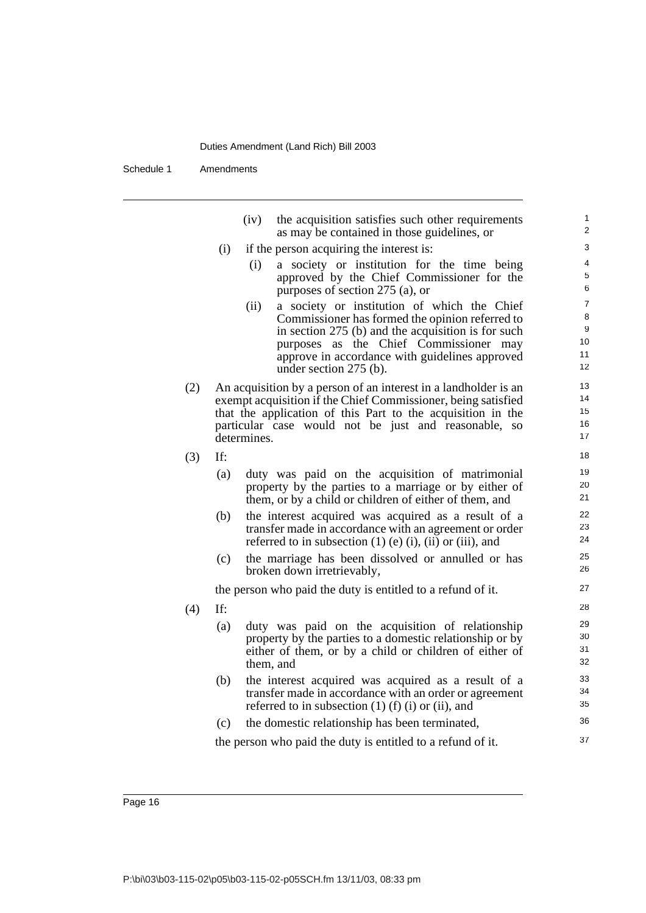Schedule 1 Amendments

| 1<br>$\overline{2}$                        | (iv)<br>the acquisition satisfies such other requirements<br>as may be contained in those guidelines, or                                                                                                                                                                           |     |
|--------------------------------------------|------------------------------------------------------------------------------------------------------------------------------------------------------------------------------------------------------------------------------------------------------------------------------------|-----|
| 3                                          | if the person acquiring the interest is:                                                                                                                                                                                                                                           |     |
| 4<br>5<br>6                                | (i)<br>a society or institution for the time being<br>approved by the Chief Commissioner for the<br>purposes of section 275 (a), or                                                                                                                                                |     |
| $\overline{7}$<br>8<br>9<br>10<br>11<br>12 | a society or institution of which the Chief<br>(ii)<br>Commissioner has formed the opinion referred to<br>in section 275 (b) and the acquisition is for such<br>purposes as the Chief Commissioner may<br>approve in accordance with guidelines approved<br>under section 275 (b). |     |
| 13<br>14<br>15<br>16<br>17                 | An acquisition by a person of an interest in a landholder is an<br>exempt acquisition if the Chief Commissioner, being satisfied<br>that the application of this Part to the acquisition in the<br>particular case would not be just and reasonable, so<br>determines.             | (2) |
| 18                                         |                                                                                                                                                                                                                                                                                    | (3) |
| 19<br>20<br>21                             | duty was paid on the acquisition of matrimonial<br>property by the parties to a marriage or by either of<br>them, or by a child or children of either of them, and                                                                                                                 |     |
| 22<br>23<br>24                             | (b)<br>the interest acquired was acquired as a result of a<br>transfer made in accordance with an agreement or order<br>referred to in subsection $(1)$ (e) $(i)$ , $(ii)$ or $(iii)$ , and                                                                                        |     |
| 25<br>26                                   | the marriage has been dissolved or annulled or has<br>(c)<br>broken down irretrievably,                                                                                                                                                                                            |     |
| 27                                         | the person who paid the duty is entitled to a refund of it.                                                                                                                                                                                                                        |     |
| 28                                         |                                                                                                                                                                                                                                                                                    | (4) |
| 29<br>30<br>31<br>32                       | duty was paid on the acquisition of relationship<br>property by the parties to a domestic relationship or by<br>either of them, or by a child or children of either of<br>them, and                                                                                                |     |
| 33<br>34<br>35                             | the interest acquired was acquired as a result of a<br>transfer made in accordance with an order or agreement<br>referred to in subsection $(1)$ $(f)$ $(i)$ or $(ii)$ , and                                                                                                       |     |
| 36                                         | the domestic relationship has been terminated,                                                                                                                                                                                                                                     |     |
|                                            |                                                                                                                                                                                                                                                                                    |     |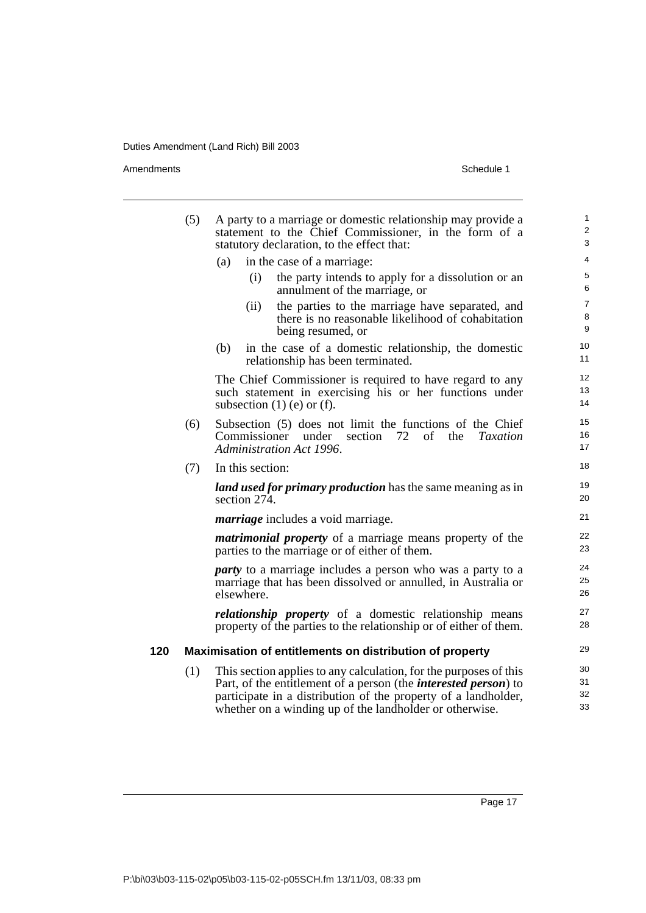Amendments Schedule 1

|     | (5) | A party to a marriage or domestic relationship may provide a<br>statement to the Chief Commissioner, in the form of a<br>statutory declaration, to the effect that:                                                                                                       | 1<br>$\overline{2}$<br>3 |
|-----|-----|---------------------------------------------------------------------------------------------------------------------------------------------------------------------------------------------------------------------------------------------------------------------------|--------------------------|
|     |     | in the case of a marriage:<br>(a)                                                                                                                                                                                                                                         | $\overline{4}$           |
|     |     | the party intends to apply for a dissolution or an<br>(i)<br>annulment of the marriage, or                                                                                                                                                                                | 5<br>6                   |
|     |     | the parties to the marriage have separated, and<br>(ii)<br>there is no reasonable likelihood of cohabitation<br>being resumed, or                                                                                                                                         | $\overline{7}$<br>8<br>9 |
|     |     | in the case of a domestic relationship, the domestic<br>(b)<br>relationship has been terminated.                                                                                                                                                                          | 10<br>11                 |
|     |     | The Chief Commissioner is required to have regard to any<br>such statement in exercising his or her functions under<br>subsection $(1)$ (e) or $(f)$ .                                                                                                                    | 12<br>13<br>14           |
|     | (6) | Subsection (5) does not limit the functions of the Chief<br>Commissioner<br>under<br>section<br>72<br>of<br>the<br><b>Taxation</b><br>Administration Act 1996.                                                                                                            | 15<br>16<br>17           |
|     | (7) | In this section:                                                                                                                                                                                                                                                          | 18                       |
|     |     | <i>land used for primary production</i> has the same meaning as in<br>section 274.                                                                                                                                                                                        | 19<br>20                 |
|     |     | <i>marriage</i> includes a void marriage.                                                                                                                                                                                                                                 | 21                       |
|     |     | <i>matrimonial property</i> of a marriage means property of the<br>parties to the marriage or of either of them.                                                                                                                                                          | 22<br>23                 |
|     |     | <i>party</i> to a marriage includes a person who was a party to a<br>marriage that has been dissolved or annulled, in Australia or<br>elsewhere.                                                                                                                          | 24<br>25<br>26           |
|     |     | <i>relationship property</i> of a domestic relationship means<br>property of the parties to the relationship or of either of them.                                                                                                                                        | 27<br>28                 |
| 120 |     | Maximisation of entitlements on distribution of property                                                                                                                                                                                                                  | 29                       |
|     | (1) | This section applies to any calculation, for the purposes of this<br>Part, of the entitlement of a person (the <i>interested person</i> ) to<br>participate in a distribution of the property of a landholder,<br>whether on a winding up of the landholder or otherwise. | 30<br>31<br>32<br>33     |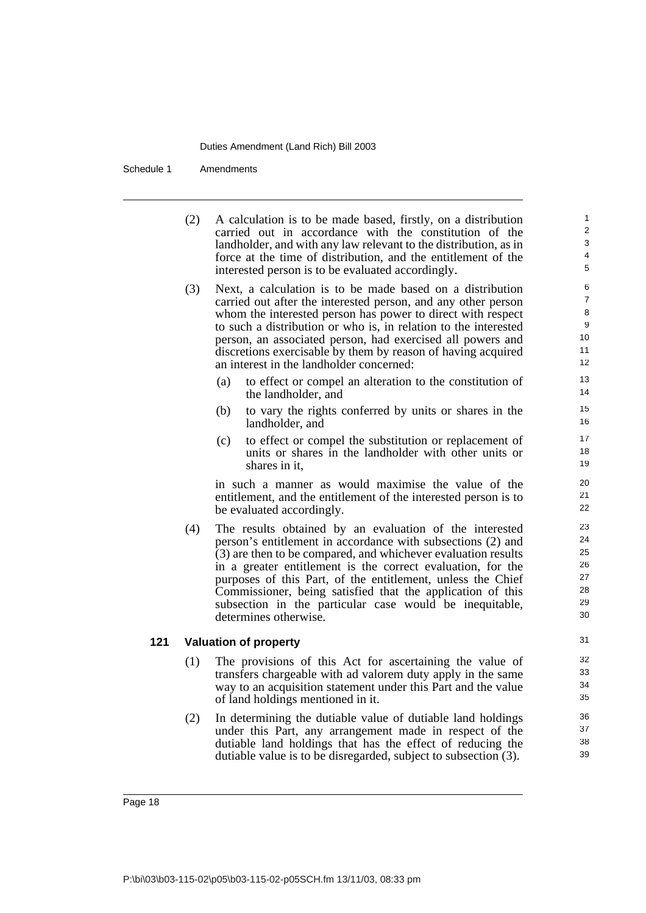Schedule 1 Amendments

- (2) A calculation is to be made based, firstly, on a distribution carried out in accordance with the constitution of the landholder, and with any law relevant to the distribution, as in force at the time of distribution, and the entitlement of the interested person is to be evaluated accordingly.
- (3) Next, a calculation is to be made based on a distribution carried out after the interested person, and any other person whom the interested person has power to direct with respect to such a distribution or who is, in relation to the interested person, an associated person, had exercised all powers and discretions exercisable by them by reason of having acquired an interest in the landholder concerned:
	- (a) to effect or compel an alteration to the constitution of the landholder, and
	- (b) to vary the rights conferred by units or shares in the landholder, and
	- (c) to effect or compel the substitution or replacement of units or shares in the landholder with other units or shares in it,

in such a manner as would maximise the value of the entitlement, and the entitlement of the interested person is to be evaluated accordingly.

(4) The results obtained by an evaluation of the interested person's entitlement in accordance with subsections (2) and (3) are then to be compared, and whichever evaluation results in a greater entitlement is the correct evaluation, for the purposes of this Part, of the entitlement, unless the Chief Commissioner, being satisfied that the application of this subsection in the particular case would be inequitable, determines otherwise.

### **121 Valuation of property**

- (1) The provisions of this Act for ascertaining the value of transfers chargeable with ad valorem duty apply in the same way to an acquisition statement under this Part and the value of land holdings mentioned in it.
- (2) In determining the dutiable value of dutiable land holdings under this Part, any arrangement made in respect of the dutiable land holdings that has the effect of reducing the dutiable value is to be disregarded, subject to subsection (3).

31 32 33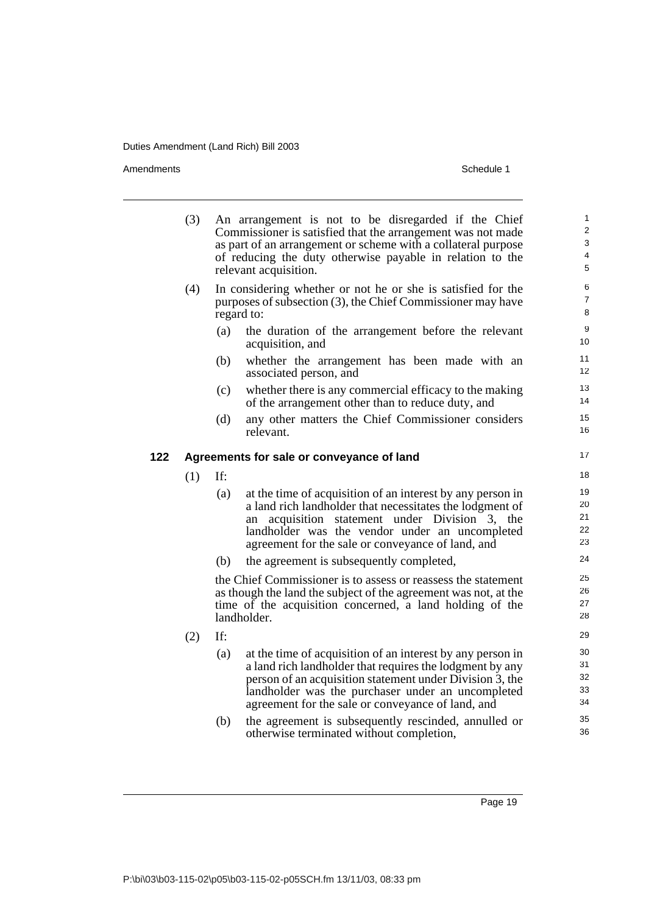Amendments Schedule 1

|     | (3) |     | An arrangement is not to be disregarded if the Chief<br>Commissioner is satisfied that the arrangement was not made<br>as part of an arrangement or scheme with a collateral purpose<br>of reducing the duty otherwise payable in relation to the<br>relevant acquisition.                   | 1<br>$\overline{c}$<br>3<br>4<br>5 |
|-----|-----|-----|----------------------------------------------------------------------------------------------------------------------------------------------------------------------------------------------------------------------------------------------------------------------------------------------|------------------------------------|
|     | (4) |     | In considering whether or not he or she is satisfied for the<br>purposes of subsection (3), the Chief Commissioner may have<br>regard to:                                                                                                                                                    | 6<br>$\overline{7}$<br>8           |
|     |     | (a) | the duration of the arrangement before the relevant<br>acquisition, and                                                                                                                                                                                                                      | 9<br>10                            |
|     |     | (b) | whether the arrangement has been made with an<br>associated person, and                                                                                                                                                                                                                      | 11<br>12                           |
|     |     | (c) | whether there is any commercial efficacy to the making<br>of the arrangement other than to reduce duty, and                                                                                                                                                                                  | 13<br>14                           |
|     |     | (d) | any other matters the Chief Commissioner considers<br>relevant.                                                                                                                                                                                                                              | 15<br>16                           |
| 122 |     |     | Agreements for sale or conveyance of land                                                                                                                                                                                                                                                    | 17                                 |
|     | (1) | If: |                                                                                                                                                                                                                                                                                              | 18                                 |
|     |     | (a) | at the time of acquisition of an interest by any person in<br>a land rich landholder that necessitates the lodgment of<br>acquisition statement under Division 3, the<br>an<br>landholder was the vendor under an uncompleted<br>agreement for the sale or conveyance of land, and           | 19<br>20<br>21<br>22<br>23         |
|     |     | (b) | the agreement is subsequently completed,                                                                                                                                                                                                                                                     | 24                                 |
|     |     |     | the Chief Commissioner is to assess or reassess the statement<br>as though the land the subject of the agreement was not, at the<br>time of the acquisition concerned, a land holding of the<br>landholder.                                                                                  | 25<br>26<br>27<br>28               |
|     | (2) | If: |                                                                                                                                                                                                                                                                                              | 29                                 |
|     |     | (a) | at the time of acquisition of an interest by any person in<br>a land rich landholder that requires the lodgment by any<br>person of an acquisition statement under Division 3, the<br>landholder was the purchaser under an uncompleted<br>agreement for the sale or conveyance of land, and | 30<br>31<br>32<br>33<br>34         |
|     |     | (b) | the agreement is subsequently rescinded, annulled or<br>otherwise terminated without completion,                                                                                                                                                                                             | 35<br>36                           |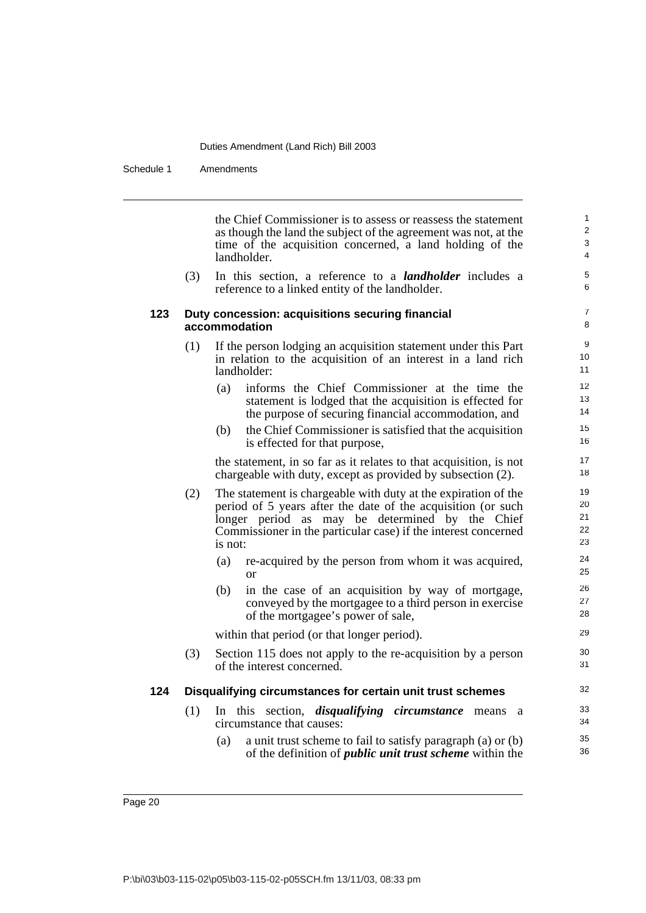Schedule 1 Amendments

the Chief Commissioner is to assess or reassess the statement as though the land the subject of the agreement was not, at the time of the acquisition concerned, a land holding of the landholder.

(3) In this section, a reference to a *landholder* includes a reference to a linked entity of the landholder.

### **123 Duty concession: acquisitions securing financial accommodation**

- (1) If the person lodging an acquisition statement under this Part in relation to the acquisition of an interest in a land rich landholder:
	- (a) informs the Chief Commissioner at the time the statement is lodged that the acquisition is effected for the purpose of securing financial accommodation, and
	- (b) the Chief Commissioner is satisfied that the acquisition is effected for that purpose,

the statement, in so far as it relates to that acquisition, is not chargeable with duty, except as provided by subsection (2).

- (2) The statement is chargeable with duty at the expiration of the period of 5 years after the date of the acquisition (or such longer period as may be determined by the Chief Commissioner in the particular case) if the interest concerned is not:
	- (a) re-acquired by the person from whom it was acquired, or
	- (b) in the case of an acquisition by way of mortgage, conveyed by the mortgagee to a third person in exercise of the mortgagee's power of sale,

within that period (or that longer period).

(3) Section 115 does not apply to the re-acquisition by a person of the interest concerned.

### **124 Disqualifying circumstances for certain unit trust schemes**

- (1) In this section, *disqualifying circumstance* means a circumstance that causes:
	- (a) a unit trust scheme to fail to satisfy paragraph (a) or (b) of the definition of *public unit trust scheme* within the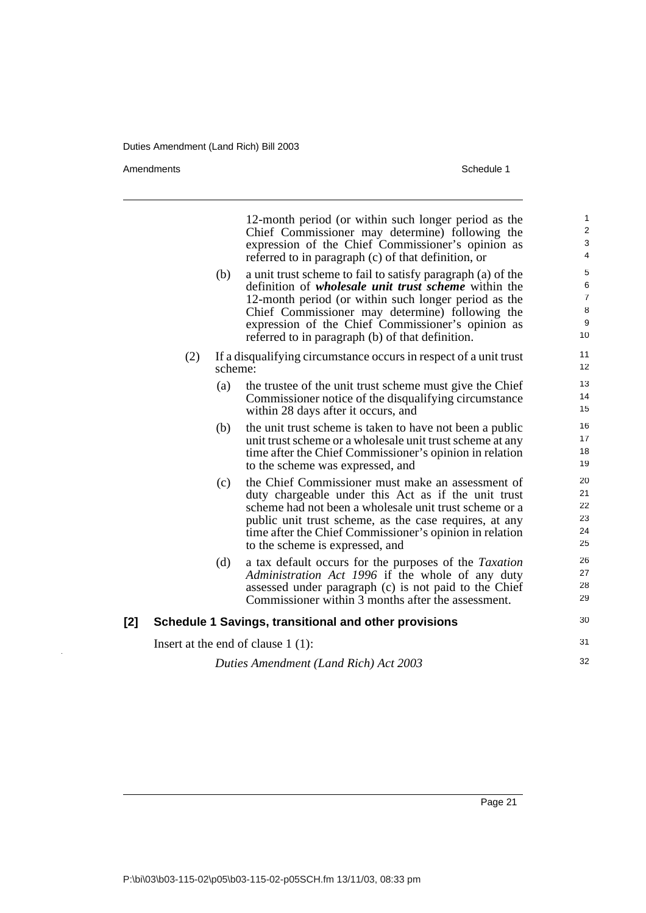Amendments **Amendments** Schedule 1

12-month period (or within such longer period as the Chief Commissioner may determine) following the expression of the Chief Commissioner's opinion as referred to in paragraph (c) of that definition, or (b) a unit trust scheme to fail to satisfy paragraph (a) of the definition of *wholesale unit trust scheme* within the 12-month period (or within such longer period as the Chief Commissioner may determine) following the expression of the Chief Commissioner's opinion as referred to in paragraph (b) of that definition. (2) If a disqualifying circumstance occurs in respect of a unit trust scheme: (a) the trustee of the unit trust scheme must give the Chief Commissioner notice of the disqualifying circumstance within 28 days after it occurs, and (b) the unit trust scheme is taken to have not been a public unit trust scheme or a wholesale unit trust scheme at any time after the Chief Commissioner's opinion in relation to the scheme was expressed, and (c) the Chief Commissioner must make an assessment of duty chargeable under this Act as if the unit trust scheme had not been a wholesale unit trust scheme or a public unit trust scheme, as the case requires, at any time after the Chief Commissioner's opinion in relation to the scheme is expressed, and (d) a tax default occurs for the purposes of the *Taxation Administration Act 1996* if the whole of any duty assessed under paragraph (c) is not paid to the Chief Commissioner within 3 months after the assessment. **[2] Schedule 1 Savings, transitional and other provisions** Insert at the end of clause 1 (1): *Duties Amendment (Land Rich) Act 2003* 1  $\overline{2}$ 3 4 5 6 7 8 9 10 11 12 13 14 15 16 17 18 19 20 21 22 23 24 25 26 27 28 29 30 31 32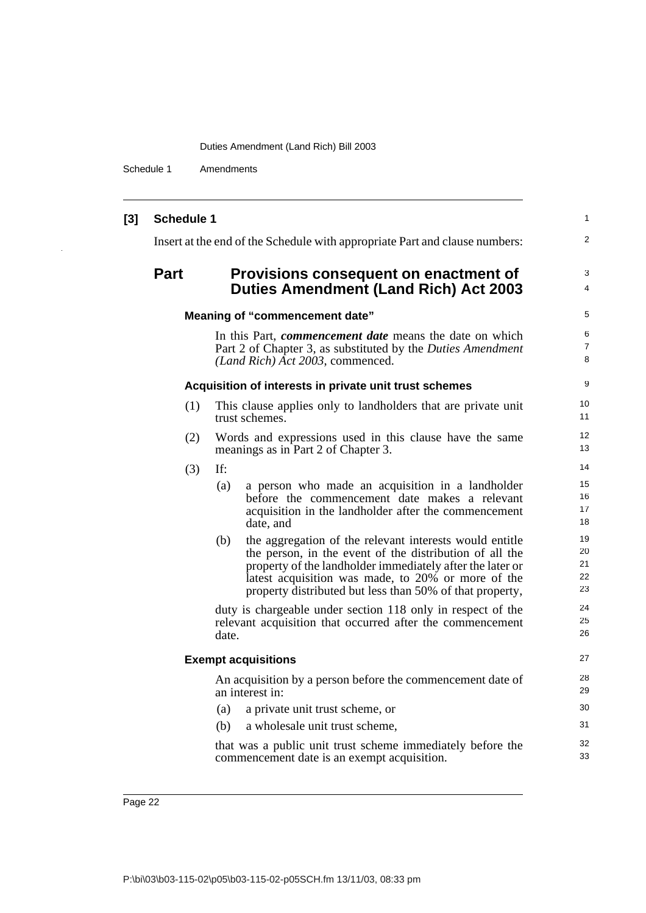Schedule 1 Amendments

#### **[3] Schedule 1** Insert at the end of the Schedule with appropriate Part and clause numbers: **Part Provisions consequent on enactment of Duties Amendment (Land Rich) Act 2003 Meaning of "commencement date"** In this Part, *commencement date* means the date on which Part 2 of Chapter 3, as substituted by the *Duties Amendment (Land Rich) Act 2003*, commenced. **Acquisition of interests in private unit trust schemes** (1) This clause applies only to landholders that are private unit trust schemes. (2) Words and expressions used in this clause have the same meanings as in Part 2 of Chapter 3. (3) If: (a) a person who made an acquisition in a landholder before the commencement date makes a relevant acquisition in the landholder after the commencement date, and (b) the aggregation of the relevant interests would entitle the person, in the event of the distribution of all the property of the landholder immediately after the later or latest acquisition was made, to 20% or more of the property distributed but less than 50% of that property, duty is chargeable under section 118 only in respect of the relevant acquisition that occurred after the commencement date. **Exempt acquisitions** An acquisition by a person before the commencement date of an interest in: (a) a private unit trust scheme, or (b) a wholesale unit trust scheme, that was a public unit trust scheme immediately before the commencement date is an exempt acquisition. 1  $\overline{2}$ 3 4 5 6 7 8 9 10 11 12 13 14 15 16 17 18 19 20 21 22 23 24 25 26 27 28 29 30 31 32 33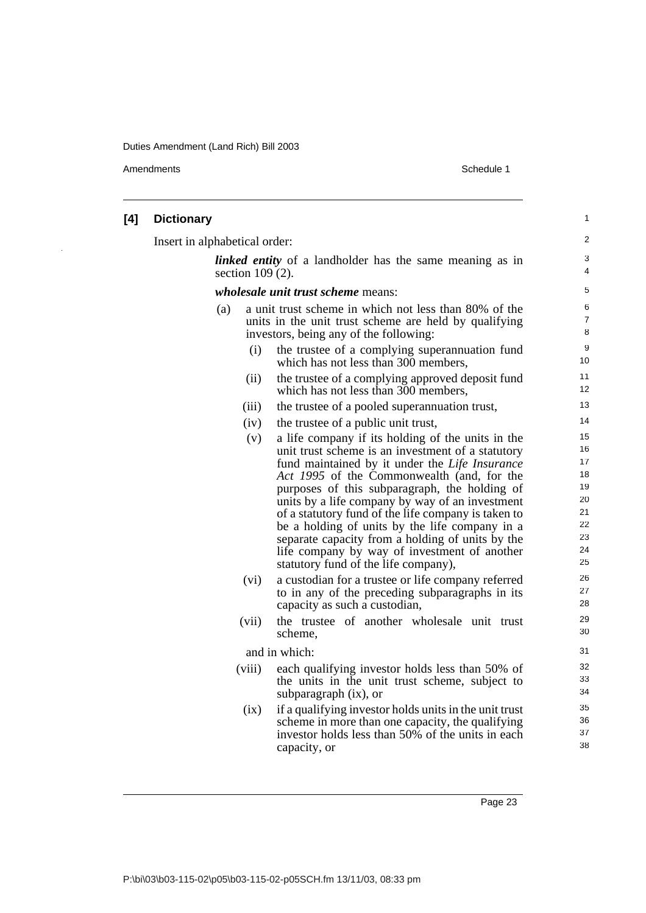Amendments Schedule 1

| [4] | <b>Dictionary</b>             |     |                    |                                                                                                                                                                                                                                                                                                                                                                                                                                                                                                                                                                                                                                                                                                           | 1                                                                                |
|-----|-------------------------------|-----|--------------------|-----------------------------------------------------------------------------------------------------------------------------------------------------------------------------------------------------------------------------------------------------------------------------------------------------------------------------------------------------------------------------------------------------------------------------------------------------------------------------------------------------------------------------------------------------------------------------------------------------------------------------------------------------------------------------------------------------------|----------------------------------------------------------------------------------|
|     | Insert in alphabetical order: |     |                    |                                                                                                                                                                                                                                                                                                                                                                                                                                                                                                                                                                                                                                                                                                           | 2                                                                                |
|     |                               |     | section $109(2)$ . | linked entity of a landholder has the same meaning as in                                                                                                                                                                                                                                                                                                                                                                                                                                                                                                                                                                                                                                                  | 3<br>4                                                                           |
|     |                               |     |                    | <i>wholesale unit trust scheme means:</i>                                                                                                                                                                                                                                                                                                                                                                                                                                                                                                                                                                                                                                                                 | 5                                                                                |
|     |                               | (a) |                    | a unit trust scheme in which not less than 80% of the<br>units in the unit trust scheme are held by qualifying<br>investors, being any of the following:                                                                                                                                                                                                                                                                                                                                                                                                                                                                                                                                                  | 6<br>$\overline{7}$<br>8                                                         |
|     |                               |     | (i)                | the trustee of a complying superannuation fund<br>which has not less than 300 members,                                                                                                                                                                                                                                                                                                                                                                                                                                                                                                                                                                                                                    | 9<br>10                                                                          |
|     |                               |     | (ii)               | the trustee of a complying approved deposit fund<br>which has not less than 300 members,                                                                                                                                                                                                                                                                                                                                                                                                                                                                                                                                                                                                                  | 11<br>12                                                                         |
|     |                               |     | (iii)              | the trustee of a pooled superannuation trust,                                                                                                                                                                                                                                                                                                                                                                                                                                                                                                                                                                                                                                                             | 13                                                                               |
|     |                               |     | (iv)               | the trustee of a public unit trust,                                                                                                                                                                                                                                                                                                                                                                                                                                                                                                                                                                                                                                                                       | 14                                                                               |
|     |                               |     | (v)<br>(vi)        | a life company if its holding of the units in the<br>unit trust scheme is an investment of a statutory<br>fund maintained by it under the Life Insurance<br>Act 1995 of the Commonwealth (and, for the<br>purposes of this subparagraph, the holding of<br>units by a life company by way of an investment<br>of a statutory fund of the life company is taken to<br>be a holding of units by the life company in a<br>separate capacity from a holding of units by the<br>life company by way of investment of another<br>statutory fund of the life company),<br>a custodian for a trustee or life company referred<br>to in any of the preceding subparagraphs in its<br>capacity as such a custodian, | 15<br>16<br>17<br>18<br>19<br>20<br>21<br>22<br>23<br>24<br>25<br>26<br>27<br>28 |
|     |                               |     | (vii)              | the trustee of another wholesale unit trust<br>scheme,                                                                                                                                                                                                                                                                                                                                                                                                                                                                                                                                                                                                                                                    | 29<br>30                                                                         |
|     |                               |     |                    | and in which:                                                                                                                                                                                                                                                                                                                                                                                                                                                                                                                                                                                                                                                                                             | 31                                                                               |
|     |                               |     | (viii)             | each qualifying investor holds less than 50% of<br>the units in the unit trust scheme, subject to<br>subparagraph (ix), or                                                                                                                                                                                                                                                                                                                                                                                                                                                                                                                                                                                | 32<br>33<br>34                                                                   |
|     |                               |     | (ix)               | if a qualifying investor holds units in the unit trust<br>scheme in more than one capacity, the qualifying<br>investor holds less than 50% of the units in each<br>capacity, or                                                                                                                                                                                                                                                                                                                                                                                                                                                                                                                           | 35<br>36<br>37<br>38                                                             |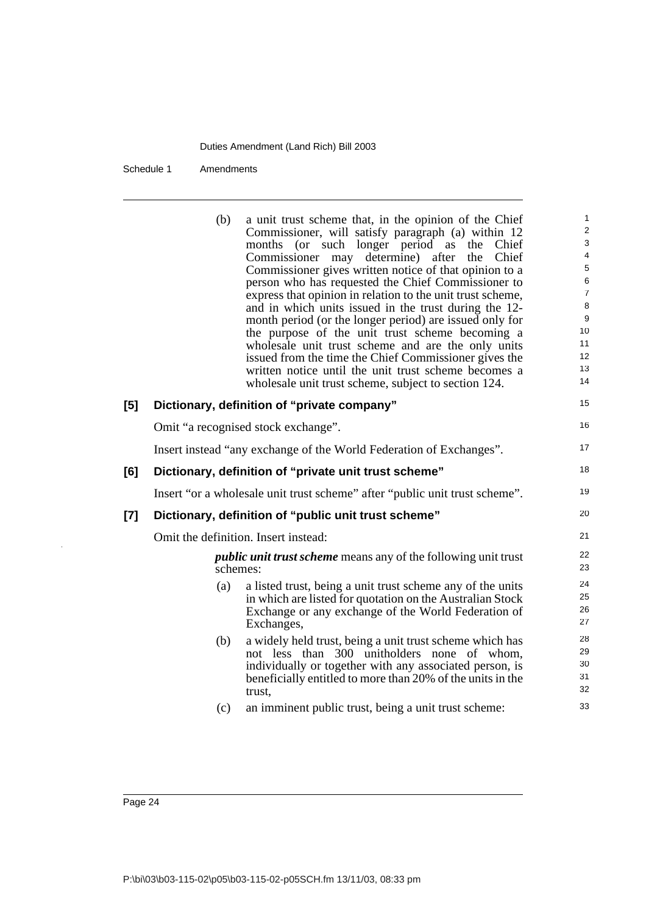Schedule 1 Amendments

|     | (b)<br>a unit trust scheme that, in the opinion of the Chief<br>Commissioner, will satisfy paragraph (a) within 12<br>months (or such longer period as<br>the<br>Chief<br>Commissioner may determine) after<br>the Chief<br>Commissioner gives written notice of that opinion to a<br>person who has requested the Chief Commissioner to<br>express that opinion in relation to the unit trust scheme,<br>and in which units issued in the trust during the 12-<br>month period (or the longer period) are issued only for<br>the purpose of the unit trust scheme becoming a<br>wholesale unit trust scheme and are the only units<br>issued from the time the Chief Commissioner gives the<br>written notice until the unit trust scheme becomes a<br>wholesale unit trust scheme, subject to section 124. | 1<br>$\overline{2}$<br>3<br>4<br>5<br>6<br>$\overline{7}$<br>8<br>9<br>10<br>11<br>12<br>13<br>14 |  |  |  |
|-----|--------------------------------------------------------------------------------------------------------------------------------------------------------------------------------------------------------------------------------------------------------------------------------------------------------------------------------------------------------------------------------------------------------------------------------------------------------------------------------------------------------------------------------------------------------------------------------------------------------------------------------------------------------------------------------------------------------------------------------------------------------------------------------------------------------------|---------------------------------------------------------------------------------------------------|--|--|--|
| [5] | Dictionary, definition of "private company"                                                                                                                                                                                                                                                                                                                                                                                                                                                                                                                                                                                                                                                                                                                                                                  |                                                                                                   |  |  |  |
|     | Omit "a recognised stock exchange".                                                                                                                                                                                                                                                                                                                                                                                                                                                                                                                                                                                                                                                                                                                                                                          |                                                                                                   |  |  |  |
|     | Insert instead "any exchange of the World Federation of Exchanges".                                                                                                                                                                                                                                                                                                                                                                                                                                                                                                                                                                                                                                                                                                                                          |                                                                                                   |  |  |  |
| [6] | Dictionary, definition of "private unit trust scheme"                                                                                                                                                                                                                                                                                                                                                                                                                                                                                                                                                                                                                                                                                                                                                        | 18                                                                                                |  |  |  |
|     | Insert "or a wholesale unit trust scheme" after "public unit trust scheme".                                                                                                                                                                                                                                                                                                                                                                                                                                                                                                                                                                                                                                                                                                                                  | 19                                                                                                |  |  |  |
| [7] | Dictionary, definition of "public unit trust scheme"                                                                                                                                                                                                                                                                                                                                                                                                                                                                                                                                                                                                                                                                                                                                                         | 20                                                                                                |  |  |  |
|     | Omit the definition. Insert instead:                                                                                                                                                                                                                                                                                                                                                                                                                                                                                                                                                                                                                                                                                                                                                                         | 21                                                                                                |  |  |  |
|     | <i>public unit trust scheme</i> means any of the following unit trust<br>schemes:                                                                                                                                                                                                                                                                                                                                                                                                                                                                                                                                                                                                                                                                                                                            | 22<br>23                                                                                          |  |  |  |
|     | a listed trust, being a unit trust scheme any of the units<br>(a)<br>in which are listed for quotation on the Australian Stock<br>Exchange or any exchange of the World Federation of<br>Exchanges,                                                                                                                                                                                                                                                                                                                                                                                                                                                                                                                                                                                                          | 24<br>25<br>26<br>27                                                                              |  |  |  |
|     | (b)<br>a widely held trust, being a unit trust scheme which has<br>not less than 300 unitholders none of whom,<br>individually or together with any associated person, is<br>beneficially entitled to more than 20% of the units in the<br>trust,                                                                                                                                                                                                                                                                                                                                                                                                                                                                                                                                                            | 28<br>29<br>30<br>31<br>32                                                                        |  |  |  |
|     | (c)<br>an imminent public trust, being a unit trust scheme:                                                                                                                                                                                                                                                                                                                                                                                                                                                                                                                                                                                                                                                                                                                                                  | 33                                                                                                |  |  |  |

l,